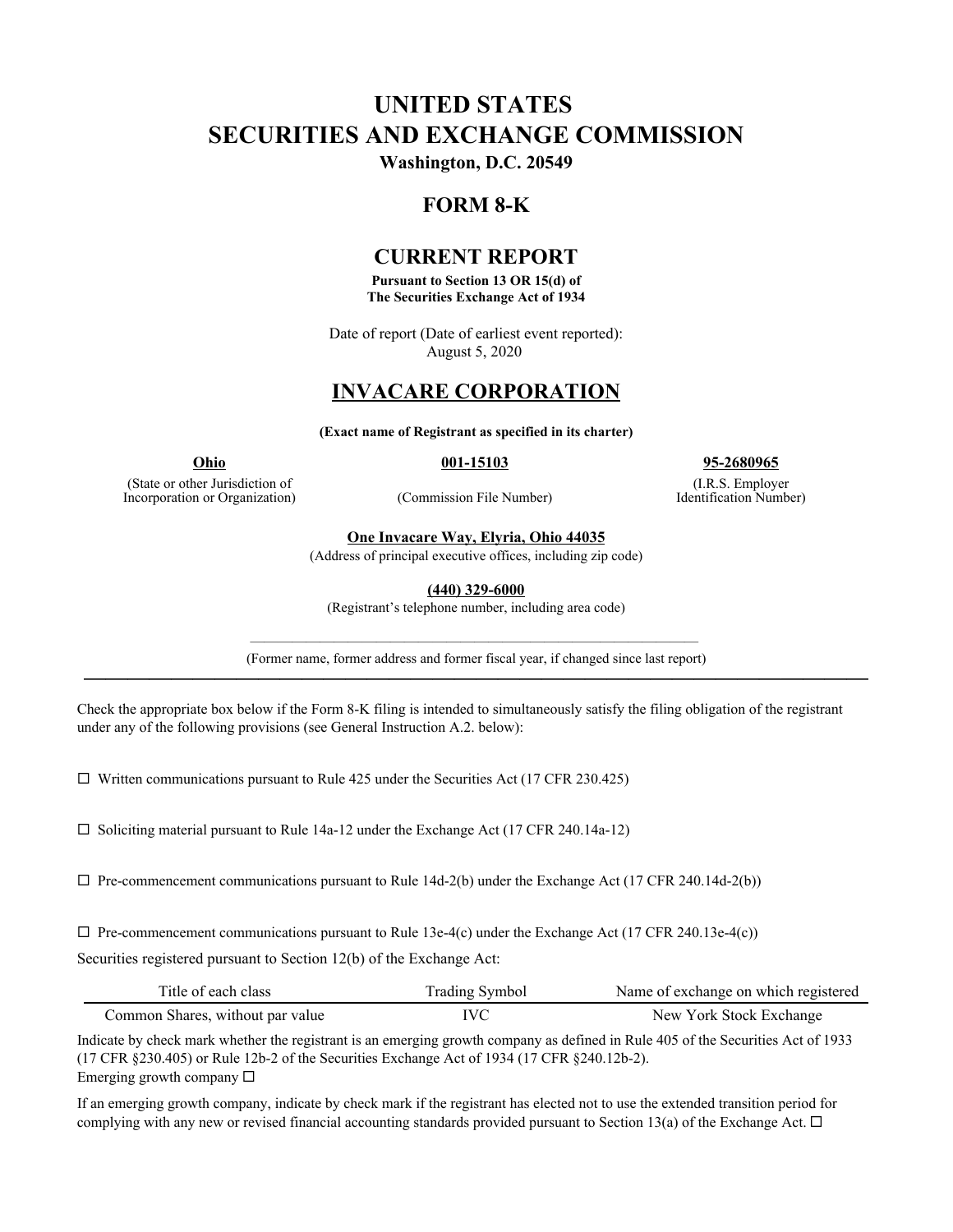# **UNITED STATES SECURITIES AND EXCHANGE COMMISSION**

**Washington, D.C. 20549**

## **FORM 8-K**

#### **CURRENT REPORT**

**Pursuant to Section 13 OR 15(d) of The Securities Exchange Act of 1934**

Date of report (Date of earliest event reported): August 5, 2020

# **INVACARE CORPORATION**

**(Exact name of Registrant as specified in its charter)**

(State or other Jurisdiction of Incorporation or Organization) (Commission File Number)

**Ohio 001-15103 95-2680965**

(I.R.S. Employer Identification Number)

**One Invacare Way, Elyria, Ohio 44035**

(Address of principal executive offices, including zip code)

**(440) 329-6000**

(Registrant's telephone number, including area code)

———————————————————————————————— (Former name, former address and former fiscal year, if changed since last report) **————————————————————————————————————**

Check the appropriate box below if the Form 8-K filing is intended to simultaneously satisfy the filing obligation of the registrant under any of the following provisions (see General Instruction A.2. below):

 $\Box$  Written communications pursuant to Rule 425 under the Securities Act (17 CFR 230.425)

 $\square$  Soliciting material pursuant to Rule 14a-12 under the Exchange Act (17 CFR 240.14a-12)

 $\Box$  Pre-commencement communications pursuant to Rule 14d-2(b) under the Exchange Act (17 CFR 240.14d-2(b))

 $\Box$  Pre-commencement communications pursuant to Rule 13e-4(c) under the Exchange Act (17 CFR 240.13e-4(c))

Securities registered pursuant to Section 12(b) of the Exchange Act:

| Title of each class              | <b>Trading Symbol</b> | Name of exchange on which registered |
|----------------------------------|-----------------------|--------------------------------------|
| Common Shares, without par value | <b>IVC</b>            | New York Stock Exchange              |

Indicate by check mark whether the registrant is an emerging growth company as defined in Rule 405 of the Securities Act of 1933 (17 CFR §230.405) or Rule 12b-2 of the Securities Exchange Act of 1934 (17 CFR §240.12b-2). Emerging growth company  $\square$ 

If an emerging growth company, indicate by check mark if the registrant has elected not to use the extended transition period for complying with any new or revised financial accounting standards provided pursuant to Section 13(a) of the Exchange Act.  $\Box$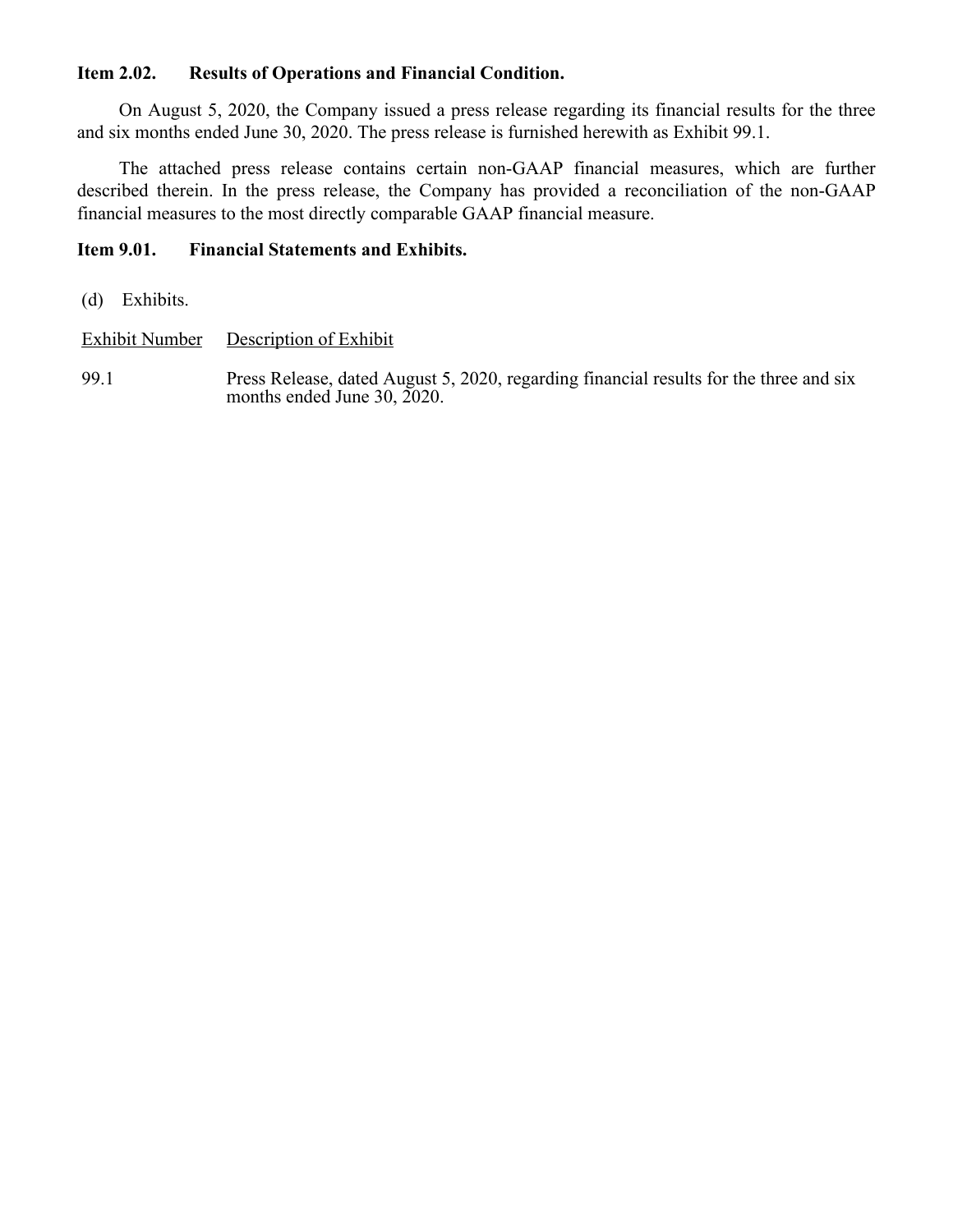#### **Item 2.02. Results of Operations and Financial Condition.**

On August 5, 2020, the Company issued a press release regarding its financial results for the three and six months ended June 30, 2020. The press release is furnished herewith as Exhibit 99.1.

The attached press release contains certain non-GAAP financial measures, which are further described therein. In the press release, the Company has provided a reconciliation of the non-GAAP financial measures to the most directly comparable GAAP financial measure.

## **Item 9.01. Financial Statements and Exhibits.**

(d) Exhibits.

Exhibit Number Description of Exhibit

99.1 Press Release, dated August 5, 2020, regarding financial results for the three and six months ended June 30, 2020.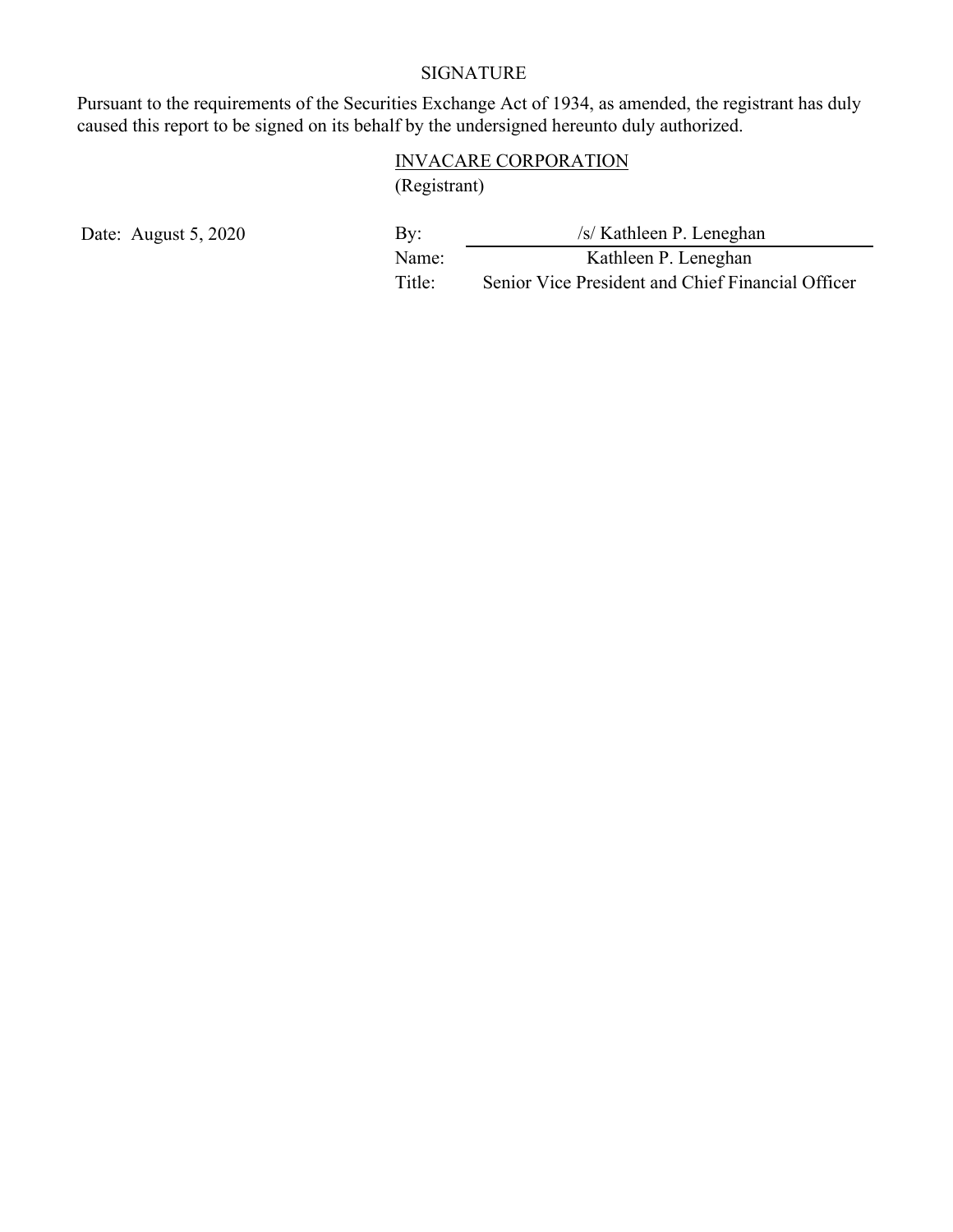# SIGNATURE

Pursuant to the requirements of the Securities Exchange Act of 1934, as amended, the registrant has duly caused this report to be signed on its behalf by the undersigned hereunto duly authorized.

# INVACARE CORPORATION (Registrant)

Date: August 5, 2020 By: *By:* /s/ Kathleen P. Leneghan Name: Kathleen P. Leneghan Title: Senior Vice President and Chief Financial Officer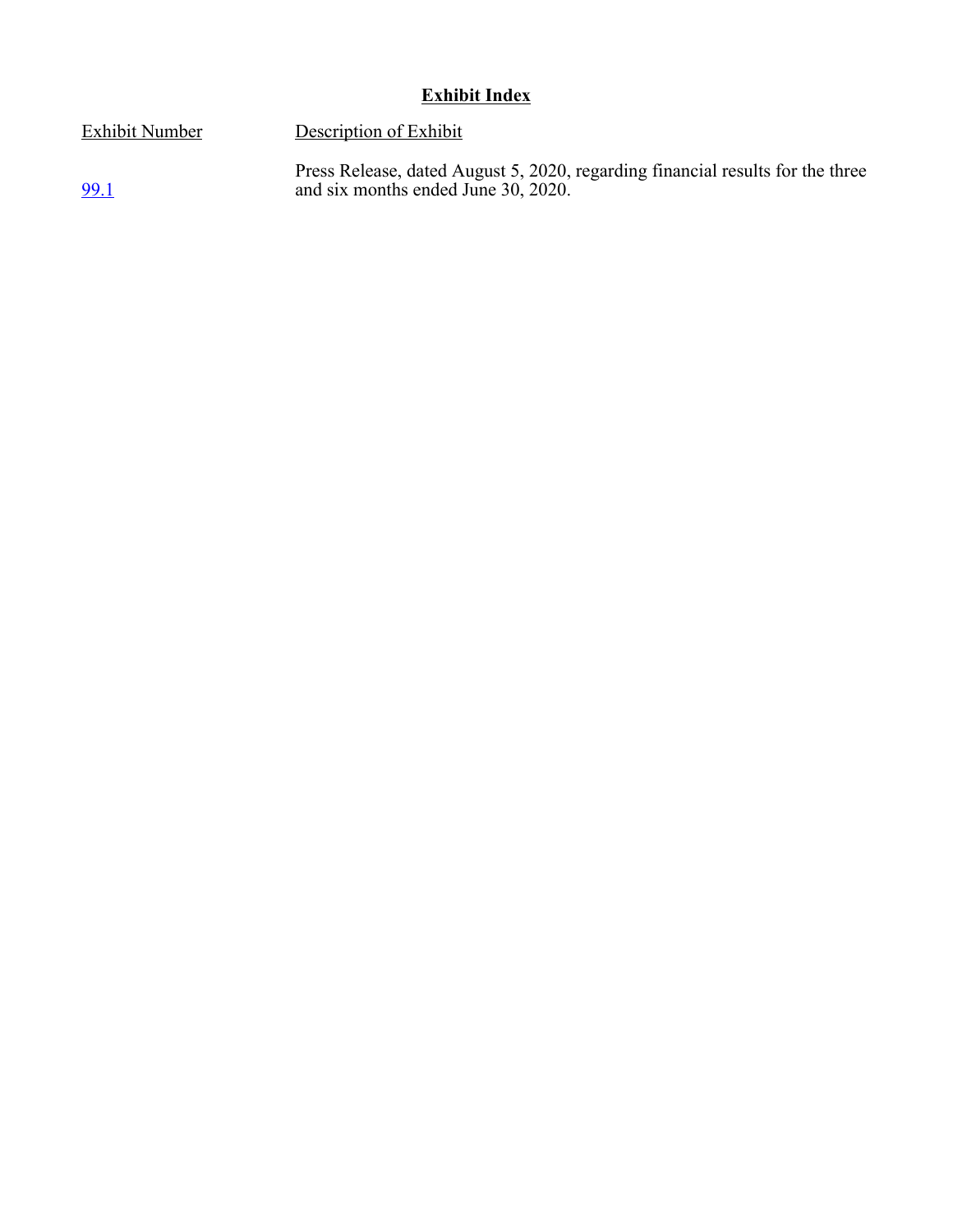# **Exhibit Index**

Exhibit Number Description of Exhibit

Press Release, dated August 5, 2020, regarding financial results for the three and six months ended June 30, 2020.

[99.1](wurl://docs.v1/doc:86c9eae6d2fd47e288e9ceb8d68ffe5f)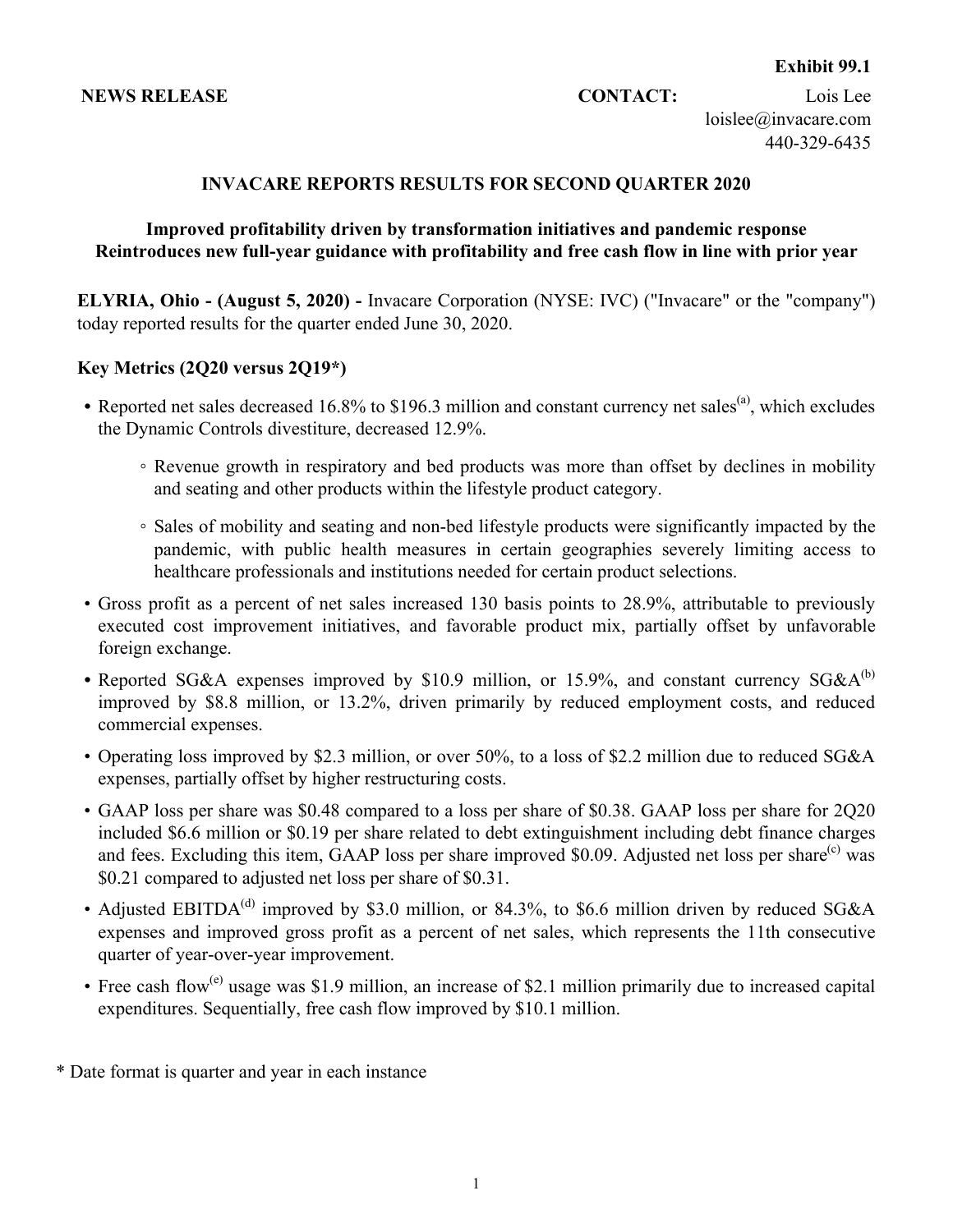#### **Exhibit 99.1**

## **INVACARE REPORTS RESULTS FOR SECOND QUARTER 2020**

# **Improved profitability driven by transformation initiatives and pandemic response Reintroduces new full-year guidance with profitability and free cash flow in line with prior year**

**ELYRIA, Ohio - (August 5, 2020) -** Invacare Corporation (NYSE: IVC) ("Invacare" or the "company") today reported results for the quarter ended June 30, 2020.

#### **Key Metrics (2Q20 versus 2Q19\*)**

- Reported net sales decreased 16.8% to \$196.3 million and constant currency net sales<sup>(a)</sup>, which excludes the Dynamic Controls divestiture, decreased 12.9%.
	- Revenue growth in respiratory and bed products was more than offset by declines in mobility and seating and other products within the lifestyle product category.
	- Sales of mobility and seating and non-bed lifestyle products were significantly impacted by the pandemic, with public health measures in certain geographies severely limiting access to healthcare professionals and institutions needed for certain product selections.
- Gross profit as a percent of net sales increased 130 basis points to 28.9%, attributable to previously executed cost improvement initiatives, and favorable product mix, partially offset by unfavorable foreign exchange.
- Reported SG&A expenses improved by \$10.9 million, or 15.9%, and constant currency SG&A<sup>(b)</sup> improved by \$8.8 million, or 13.2%, driven primarily by reduced employment costs, and reduced commercial expenses.
- Operating loss improved by \$2.3 million, or over 50%, to a loss of \$2.2 million due to reduced SG&A expenses, partially offset by higher restructuring costs.
- GAAP loss per share was \$0.48 compared to a loss per share of \$0.38. GAAP loss per share for 2Q20 included \$6.6 million or \$0.19 per share related to debt extinguishment including debt finance charges and fees. Excluding this item, GAAP loss per share improved \$0.09. Adjusted net loss per share<sup>(c)</sup> was \$0.21 compared to adjusted net loss per share of \$0.31.
- Adjusted EBITDA<sup>(d)</sup> improved by \$3.0 million, or 84.3%, to \$6.6 million driven by reduced SG&A expenses and improved gross profit as a percent of net sales, which represents the 11th consecutive quarter of year-over-year improvement.
- Free cash flow<sup>(e)</sup> usage was \$1.9 million, an increase of \$2.1 million primarily due to increased capital expenditures. Sequentially, free cash flow improved by \$10.1 million.

\* Date format is quarter and year in each instance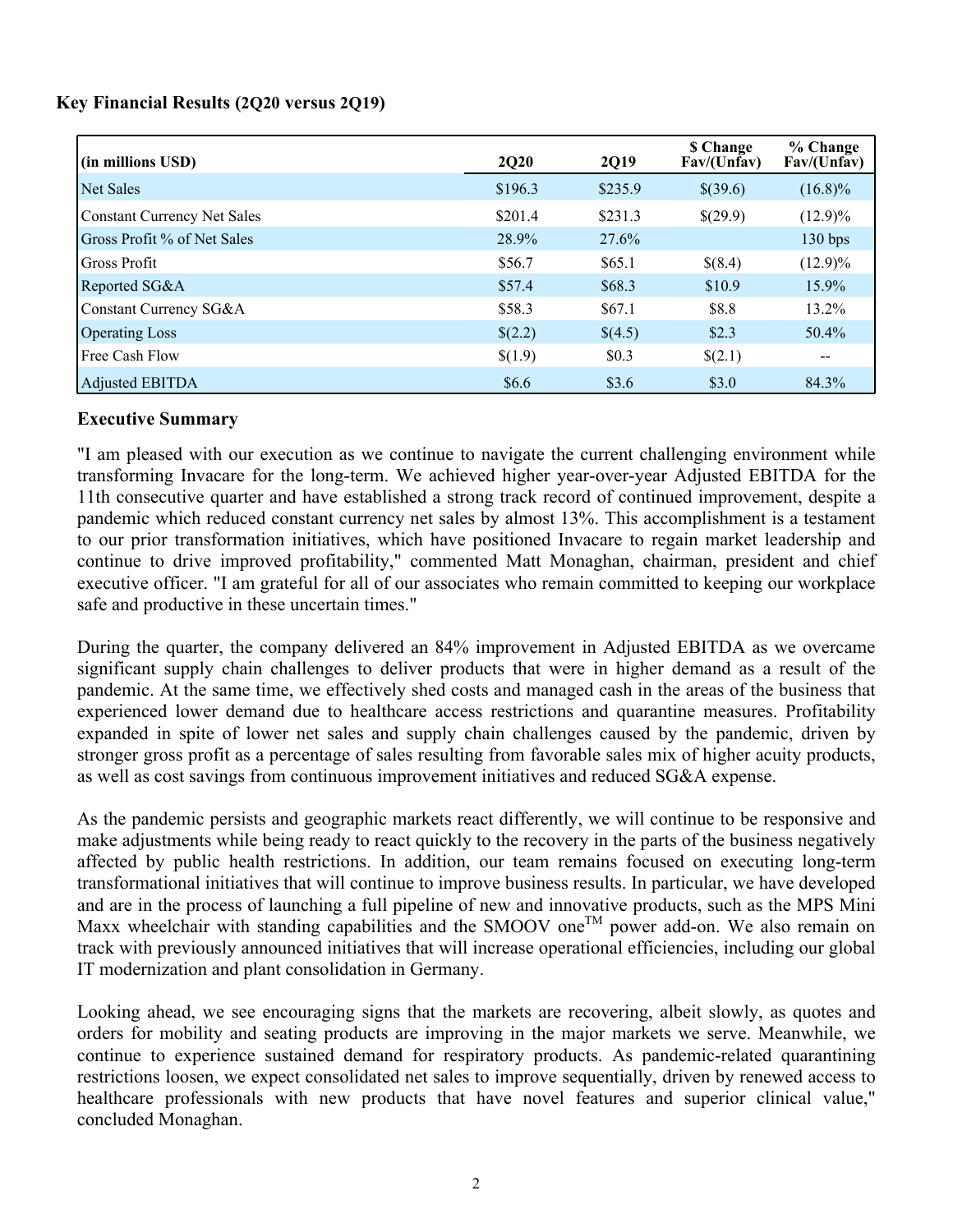| (in millions USD)                  | <b>2Q20</b> | <b>2Q19</b> | <b>S</b> Change<br>Fav/(Unfav) | % Change<br>Fav/(Unfav) |
|------------------------------------|-------------|-------------|--------------------------------|-------------------------|
| Net Sales                          | \$196.3     | \$235.9     | \$(39.6)                       | $(16.8)\%$              |
| <b>Constant Currency Net Sales</b> | \$201.4     | \$231.3     | \$(29.9)                       | $(12.9)\%$              |
| Gross Profit % of Net Sales        | 28.9%       | 27.6%       |                                | 130 bps                 |
| Gross Profit                       | \$56.7      | \$65.1      | \$(8.4)                        | $(12.9)\%$              |
| Reported SG&A                      | \$57.4      | \$68.3      | \$10.9                         | 15.9%                   |
| Constant Currency SG&A             | \$58.3      | \$67.1      | \$8.8                          | 13.2%                   |
| <b>Operating Loss</b>              | \$(2.2)     | \$(4.5)     | \$2.3                          | $50.4\%$                |
| Free Cash Flow                     | \$(1.9)     | \$0.3       | \$(2.1)                        | $- -$                   |
| <b>Adjusted EBITDA</b>             | \$6.6       | \$3.6       | \$3.0                          | 84.3%                   |

## **Key Financial Results (2Q20 versus 2Q19)**

#### **Executive Summary**

"I am pleased with our execution as we continue to navigate the current challenging environment while transforming Invacare for the long-term. We achieved higher year-over-year Adjusted EBITDA for the 11th consecutive quarter and have established a strong track record of continued improvement, despite a pandemic which reduced constant currency net sales by almost 13%. This accomplishment is a testament to our prior transformation initiatives, which have positioned Invacare to regain market leadership and continue to drive improved profitability," commented Matt Monaghan, chairman, president and chief executive officer. "I am grateful for all of our associates who remain committed to keeping our workplace safe and productive in these uncertain times."

During the quarter, the company delivered an 84% improvement in Adjusted EBITDA as we overcame significant supply chain challenges to deliver products that were in higher demand as a result of the pandemic. At the same time, we effectively shed costs and managed cash in the areas of the business that experienced lower demand due to healthcare access restrictions and quarantine measures. Profitability expanded in spite of lower net sales and supply chain challenges caused by the pandemic, driven by stronger gross profit as a percentage of sales resulting from favorable sales mix of higher acuity products, as well as cost savings from continuous improvement initiatives and reduced SG&A expense.

As the pandemic persists and geographic markets react differently, we will continue to be responsive and make adjustments while being ready to react quickly to the recovery in the parts of the business negatively affected by public health restrictions. In addition, our team remains focused on executing long-term transformational initiatives that will continue to improve business results. In particular, we have developed and are in the process of launching a full pipeline of new and innovative products, such as the MPS Mini Maxx wheelchair with standing capabilities and the SMOOV one<sup>TM</sup> power add-on. We also remain on track with previously announced initiatives that will increase operational efficiencies, including our global IT modernization and plant consolidation in Germany.

Looking ahead, we see encouraging signs that the markets are recovering, albeit slowly, as quotes and orders for mobility and seating products are improving in the major markets we serve. Meanwhile, we continue to experience sustained demand for respiratory products. As pandemic-related quarantining restrictions loosen, we expect consolidated net sales to improve sequentially, driven by renewed access to healthcare professionals with new products that have novel features and superior clinical value," concluded Monaghan.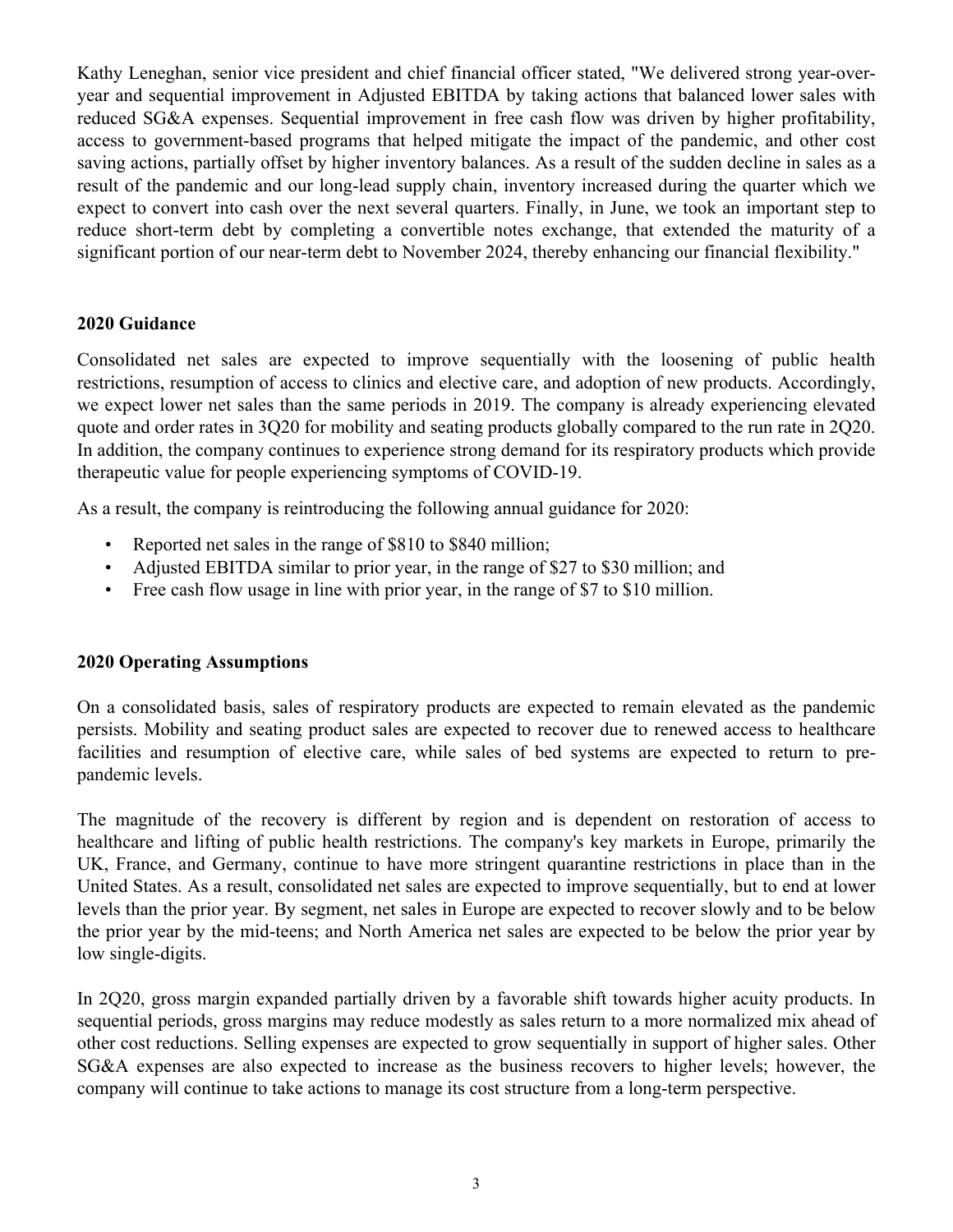Kathy Leneghan, senior vice president and chief financial officer stated, "We delivered strong year-overyear and sequential improvement in Adjusted EBITDA by taking actions that balanced lower sales with reduced SG&A expenses. Sequential improvement in free cash flow was driven by higher profitability, access to government-based programs that helped mitigate the impact of the pandemic, and other cost saving actions, partially offset by higher inventory balances. As a result of the sudden decline in sales as a result of the pandemic and our long-lead supply chain, inventory increased during the quarter which we expect to convert into cash over the next several quarters. Finally, in June, we took an important step to reduce short-term debt by completing a convertible notes exchange, that extended the maturity of a significant portion of our near-term debt to November 2024, thereby enhancing our financial flexibility."

#### **2020 Guidance**

Consolidated net sales are expected to improve sequentially with the loosening of public health restrictions, resumption of access to clinics and elective care, and adoption of new products. Accordingly, we expect lower net sales than the same periods in 2019. The company is already experiencing elevated quote and order rates in 3Q20 for mobility and seating products globally compared to the run rate in 2Q20. In addition, the company continues to experience strong demand for its respiratory products which provide therapeutic value for people experiencing symptoms of COVID-19.

As a result, the company is reintroducing the following annual guidance for 2020:

- Reported net sales in the range of \$810 to \$840 million;
- Adjusted EBITDA similar to prior year, in the range of \$27 to \$30 million; and
- Free cash flow usage in line with prior year, in the range of \$7 to \$10 million.

#### **2020 Operating Assumptions**

On a consolidated basis, sales of respiratory products are expected to remain elevated as the pandemic persists. Mobility and seating product sales are expected to recover due to renewed access to healthcare facilities and resumption of elective care, while sales of bed systems are expected to return to prepandemic levels.

The magnitude of the recovery is different by region and is dependent on restoration of access to healthcare and lifting of public health restrictions. The company's key markets in Europe, primarily the UK, France, and Germany, continue to have more stringent quarantine restrictions in place than in the United States. As a result, consolidated net sales are expected to improve sequentially, but to end at lower levels than the prior year. By segment, net sales in Europe are expected to recover slowly and to be below the prior year by the mid-teens; and North America net sales are expected to be below the prior year by low single-digits.

In 2Q20, gross margin expanded partially driven by a favorable shift towards higher acuity products. In sequential periods, gross margins may reduce modestly as sales return to a more normalized mix ahead of other cost reductions. Selling expenses are expected to grow sequentially in support of higher sales. Other SG&A expenses are also expected to increase as the business recovers to higher levels; however, the company will continue to take actions to manage its cost structure from a long-term perspective.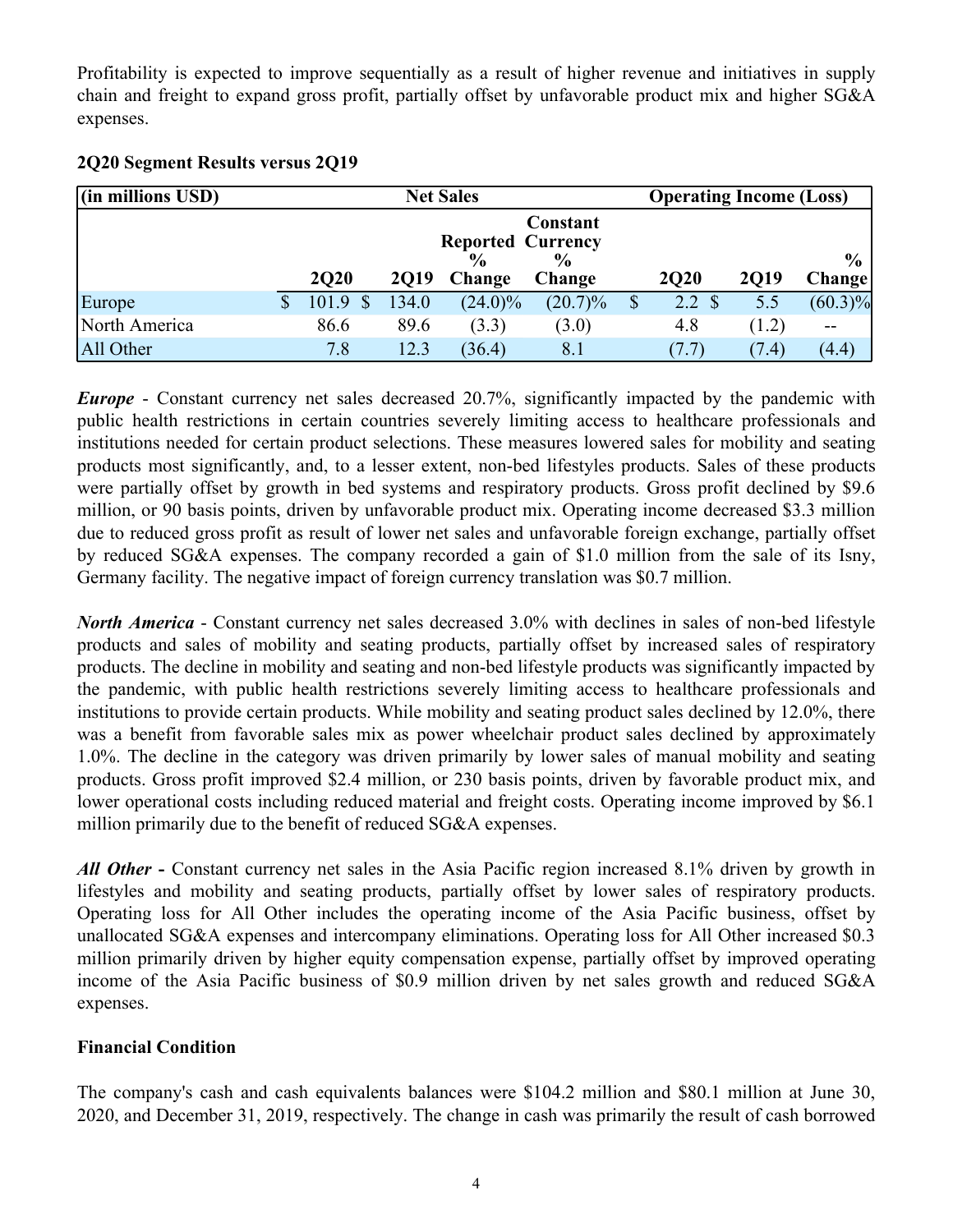Profitability is expected to improve sequentially as a result of higher revenue and initiatives in supply chain and freight to expand gross profit, partially offset by unfavorable product mix and higher SG&A expenses.

| 2Q20 Segment Results versus 2Q19 |  |  |  |  |  |
|----------------------------------|--|--|--|--|--|
|----------------------------------|--|--|--|--|--|

| $(iin$ millions USD) |             |             | <b>Net Sales</b>                          |                           | <b>Operating Income (Loss)</b> |                   |             |               |  |
|----------------------|-------------|-------------|-------------------------------------------|---------------------------|--------------------------------|-------------------|-------------|---------------|--|
|                      |             |             | <b>Reported Currency</b><br>$\frac{6}{6}$ | Constant<br>$\frac{6}{9}$ |                                |                   |             | $\frac{6}{6}$ |  |
|                      | <b>2020</b> | <b>2019</b> | Change                                    | Change                    |                                | <b>2Q20</b>       | <b>2Q19</b> | <b>Change</b> |  |
| Europe               | 101.9 S     | 134.0       | $(24.0)\%$                                | $(20.7)\%$                | $\mathbb{S}$                   | $2.2 \text{ }$ \$ | 5.5         | $(60.3)\%$    |  |
| North America        | 86.6        | 89.6        | (3.3)                                     | (3.0)                     |                                | 4.8               | (1.2)       | $- -$         |  |
| All Other            | 7.8         | 12.3        | (36.4)                                    | 8.1                       |                                | (7.7)             | (7.4)       | (4.4)         |  |

*Europe* - Constant currency net sales decreased 20.7%, significantly impacted by the pandemic with public health restrictions in certain countries severely limiting access to healthcare professionals and institutions needed for certain product selections. These measures lowered sales for mobility and seating products most significantly, and, to a lesser extent, non-bed lifestyles products. Sales of these products were partially offset by growth in bed systems and respiratory products. Gross profit declined by \$9.6 million, or 90 basis points, driven by unfavorable product mix. Operating income decreased \$3.3 million due to reduced gross profit as result of lower net sales and unfavorable foreign exchange, partially offset by reduced SG&A expenses. The company recorded a gain of \$1.0 million from the sale of its Isny, Germany facility. The negative impact of foreign currency translation was \$0.7 million.

*North America* - Constant currency net sales decreased 3.0% with declines in sales of non-bed lifestyle products and sales of mobility and seating products, partially offset by increased sales of respiratory products. The decline in mobility and seating and non-bed lifestyle products was significantly impacted by the pandemic, with public health restrictions severely limiting access to healthcare professionals and institutions to provide certain products. While mobility and seating product sales declined by 12.0%, there was a benefit from favorable sales mix as power wheelchair product sales declined by approximately 1.0%. The decline in the category was driven primarily by lower sales of manual mobility and seating products. Gross profit improved \$2.4 million, or 230 basis points, driven by favorable product mix, and lower operational costs including reduced material and freight costs. Operating income improved by \$6.1 million primarily due to the benefit of reduced SG&A expenses.

*All Other* **-** Constant currency net sales in the Asia Pacific region increased 8.1% driven by growth in lifestyles and mobility and seating products, partially offset by lower sales of respiratory products. Operating loss for All Other includes the operating income of the Asia Pacific business, offset by unallocated SG&A expenses and intercompany eliminations. Operating loss for All Other increased \$0.3 million primarily driven by higher equity compensation expense, partially offset by improved operating income of the Asia Pacific business of \$0.9 million driven by net sales growth and reduced SG&A expenses.

#### **Financial Condition**

The company's cash and cash equivalents balances were \$104.2 million and \$80.1 million at June 30, 2020, and December 31, 2019, respectively. The change in cash was primarily the result of cash borrowed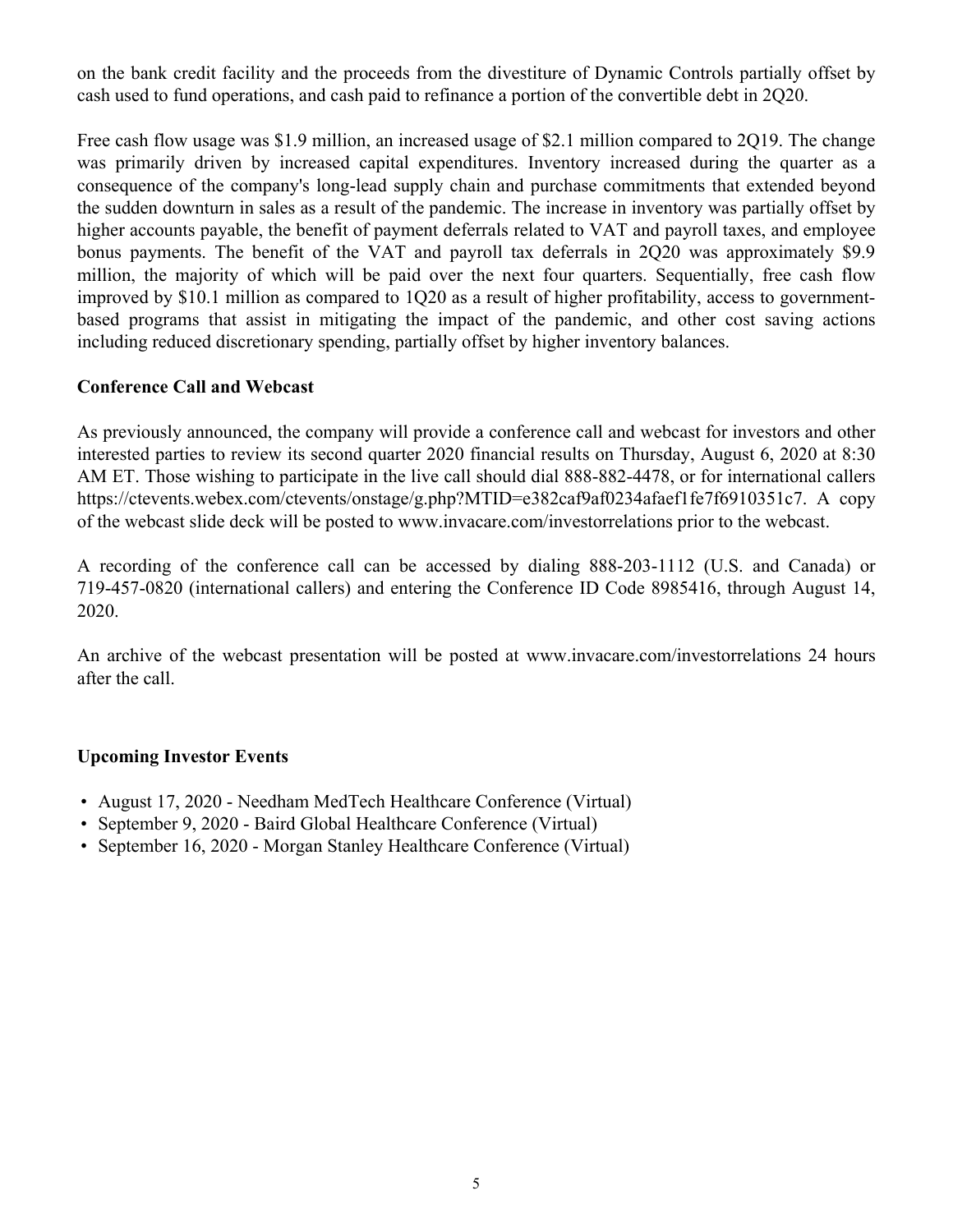on the bank credit facility and the proceeds from the divestiture of Dynamic Controls partially offset by cash used to fund operations, and cash paid to refinance a portion of the convertible debt in 2Q20.

Free cash flow usage was \$1.9 million, an increased usage of \$2.1 million compared to 2Q19. The change was primarily driven by increased capital expenditures. Inventory increased during the quarter as a consequence of the company's long-lead supply chain and purchase commitments that extended beyond the sudden downturn in sales as a result of the pandemic. The increase in inventory was partially offset by higher accounts payable, the benefit of payment deferrals related to VAT and payroll taxes, and employee bonus payments. The benefit of the VAT and payroll tax deferrals in 2Q20 was approximately \$9.9 million, the majority of which will be paid over the next four quarters. Sequentially, free cash flow improved by \$10.1 million as compared to 1Q20 as a result of higher profitability, access to governmentbased programs that assist in mitigating the impact of the pandemic, and other cost saving actions including reduced discretionary spending, partially offset by higher inventory balances.

#### **Conference Call and Webcast**

As previously announced, the company will provide a conference call and webcast for investors and other interested parties to review its second quarter 2020 financial results on Thursday, August 6, 2020 at 8:30 AM ET. Those wishing to participate in the live call should dial 888-882-4478, or for international callers https://ctevents.webex.com/ctevents/onstage/g.php?MTID=e382caf9af0234afaef1fe7f6910351c7. A copy of the webcast slide deck will be posted to www.invacare.com/investorrelations prior to the webcast.

A recording of the conference call can be accessed by dialing 888-203-1112 (U.S. and Canada) or 719-457-0820 (international callers) and entering the Conference ID Code 8985416, through August 14, 2020.

An archive of the webcast presentation will be posted at www.invacare.com/investorrelations 24 hours after the call.

#### **Upcoming Investor Events**

- August 17, 2020 Needham MedTech Healthcare Conference (Virtual)
- September 9, 2020 Baird Global Healthcare Conference (Virtual)
- September 16, 2020 Morgan Stanley Healthcare Conference (Virtual)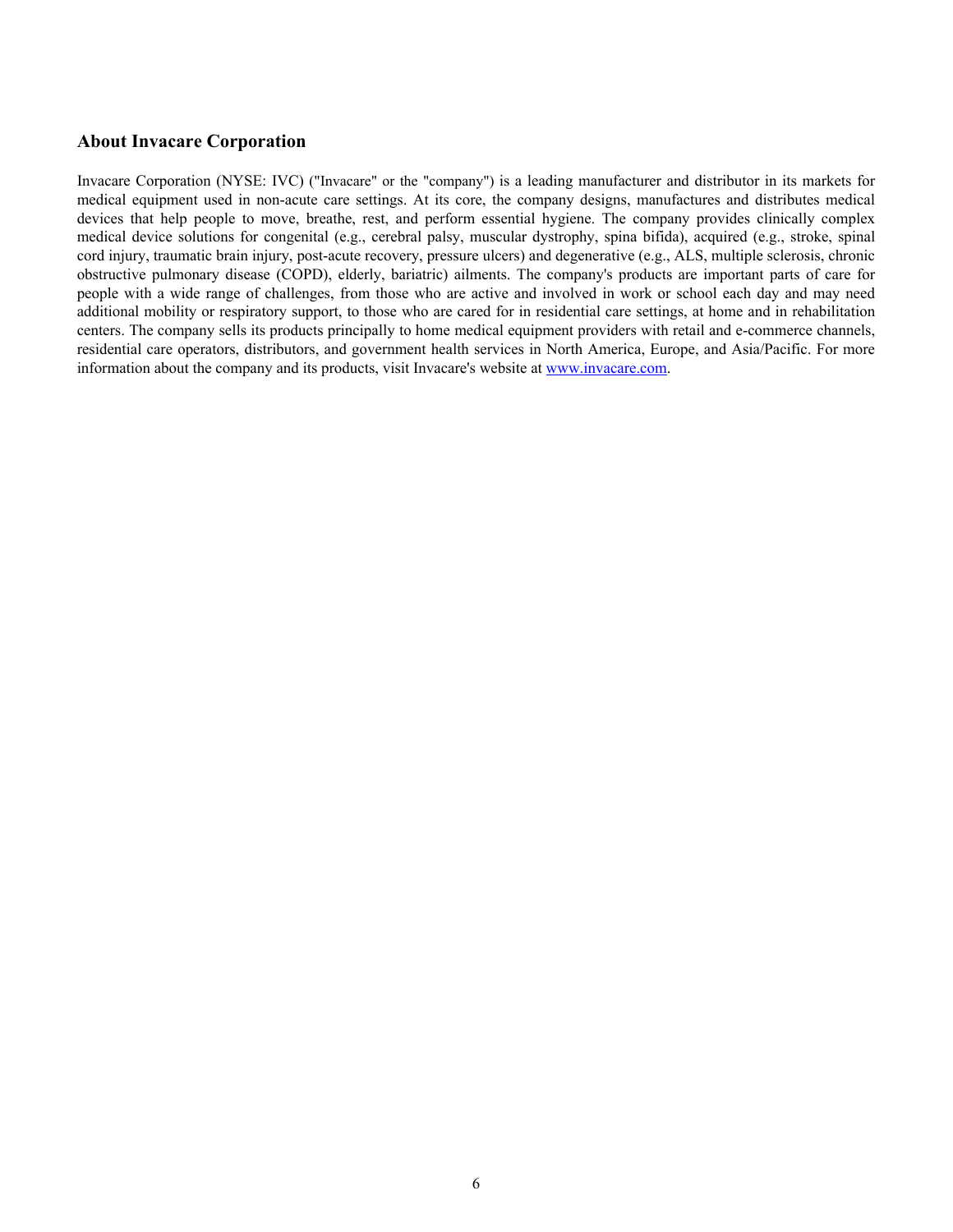#### **About Invacare Corporation**

Invacare Corporation (NYSE: IVC) ("Invacare" or the "company") is a leading manufacturer and distributor in its markets for medical equipment used in non-acute care settings. At its core, the company designs, manufactures and distributes medical devices that help people to move, breathe, rest, and perform essential hygiene. The company provides clinically complex medical device solutions for congenital (e.g., cerebral palsy, muscular dystrophy, spina bifida), acquired (e.g., stroke, spinal cord injury, traumatic brain injury, post-acute recovery, pressure ulcers) and degenerative (e.g., ALS, multiple sclerosis, chronic obstructive pulmonary disease (COPD), elderly, bariatric) ailments. The company's products are important parts of care for people with a wide range of challenges, from those who are active and involved in work or school each day and may need additional mobility or respiratory support, to those who are cared for in residential care settings, at home and in rehabilitation centers. The company sells its products principally to home medical equipment providers with retail and e-commerce channels, residential care operators, distributors, and government health services in North America, Europe, and Asia/Pacific. For more information about the company and its products, visit Invacare's website at www.invacare.com.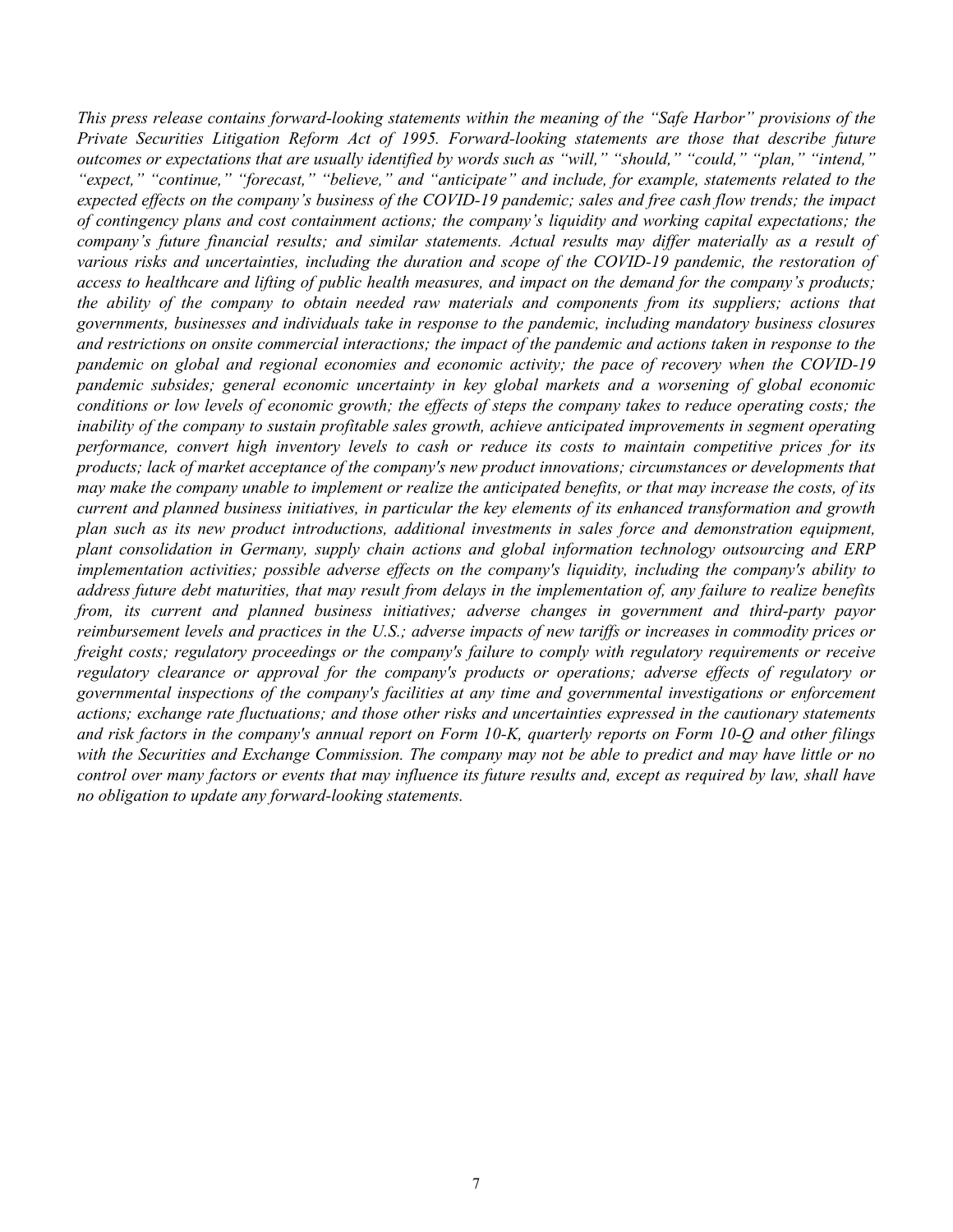*This press release contains forward-looking statements within the meaning of the "Safe Harbor" provisions of the Private Securities Litigation Reform Act of 1995. Forward-looking statements are those that describe future outcomes or expectations that are usually identified by words such as "will," "should," "could," "plan," "intend," "expect," "continue," "forecast," "believe," and "anticipate" and include, for example, statements related to the expected effects on the company's business of the COVID-19 pandemic; sales and free cash flow trends; the impact of contingency plans and cost containment actions; the company's liquidity and working capital expectations; the company's future financial results; and similar statements. Actual results may differ materially as a result of various risks and uncertainties, including the duration and scope of the COVID-19 pandemic, the restoration of access to healthcare and lifting of public health measures, and impact on the demand for the company's products; the ability of the company to obtain needed raw materials and components from its suppliers; actions that governments, businesses and individuals take in response to the pandemic, including mandatory business closures and restrictions on onsite commercial interactions; the impact of the pandemic and actions taken in response to the pandemic on global and regional economies and economic activity; the pace of recovery when the COVID-19 pandemic subsides; general economic uncertainty in key global markets and a worsening of global economic conditions or low levels of economic growth; the effects of steps the company takes to reduce operating costs; the inability of the company to sustain profitable sales growth, achieve anticipated improvements in segment operating performance, convert high inventory levels to cash or reduce its costs to maintain competitive prices for its products; lack of market acceptance of the company's new product innovations; circumstances or developments that may make the company unable to implement or realize the anticipated benefits, or that may increase the costs, of its current and planned business initiatives, in particular the key elements of its enhanced transformation and growth plan such as its new product introductions, additional investments in sales force and demonstration equipment, plant consolidation in Germany, supply chain actions and global information technology outsourcing and ERP implementation activities; possible adverse effects on the company's liquidity, including the company's ability to address future debt maturities, that may result from delays in the implementation of, any failure to realize benefits from, its current and planned business initiatives; adverse changes in government and third-party payor reimbursement levels and practices in the U.S.; adverse impacts of new tariffs or increases in commodity prices or freight costs; regulatory proceedings or the company's failure to comply with regulatory requirements or receive regulatory clearance or approval for the company's products or operations; adverse effects of regulatory or governmental inspections of the company's facilities at any time and governmental investigations or enforcement actions; exchange rate fluctuations; and those other risks and uncertainties expressed in the cautionary statements and risk factors in the company's annual report on Form 10-K, quarterly reports on Form 10-Q and other filings with the Securities and Exchange Commission. The company may not be able to predict and may have little or no control over many factors or events that may influence its future results and, except as required by law, shall have no obligation to update any forward-looking statements.*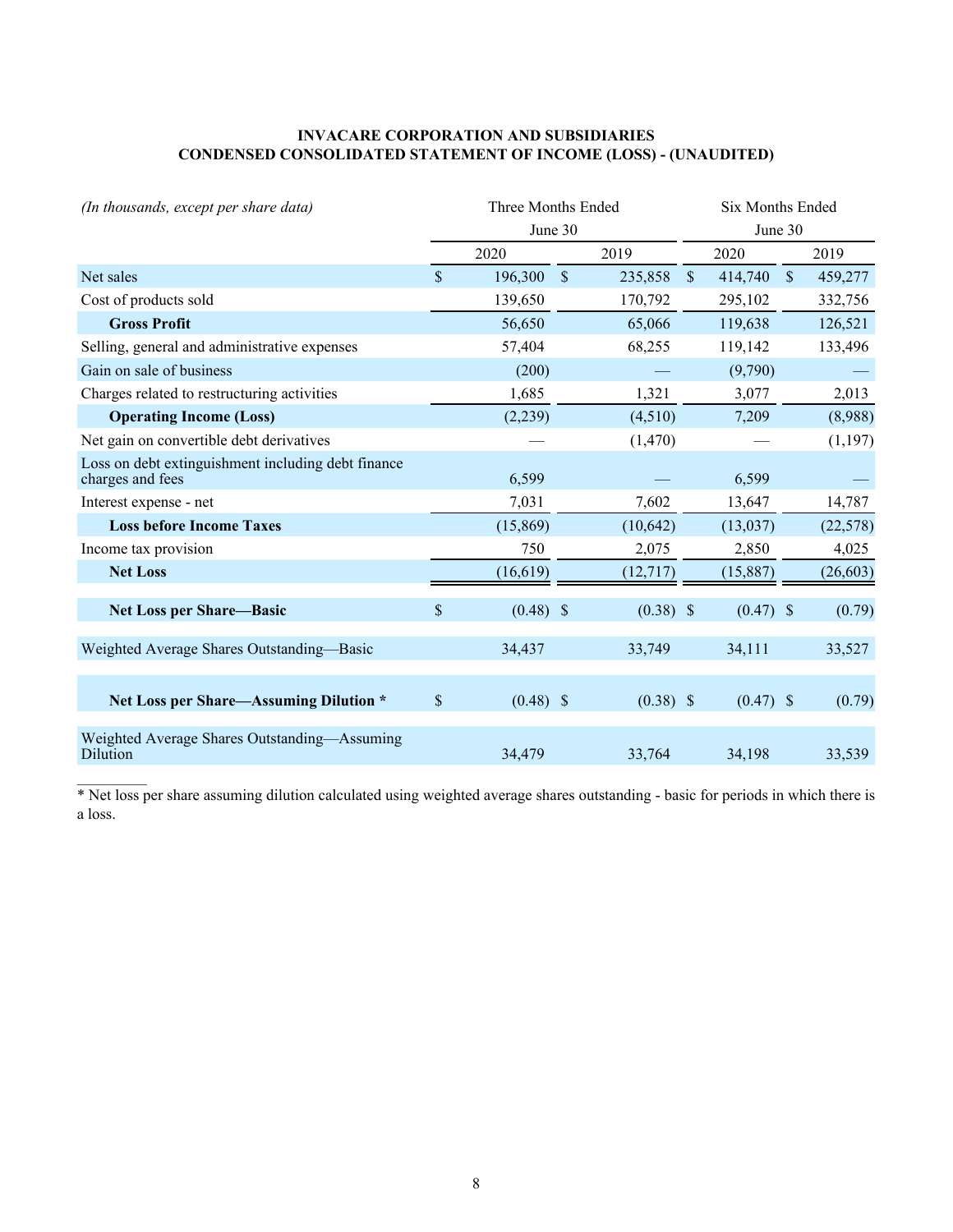#### **INVACARE CORPORATION AND SUBSIDIARIES CONDENSED CONSOLIDATED STATEMENT OF INCOME (LOSS) - (UNAUDITED)**

| (In thousands, except per share data)                                  |               | Three Months Ended |               |             | <b>Six Months Ended</b> |             |              |           |  |
|------------------------------------------------------------------------|---------------|--------------------|---------------|-------------|-------------------------|-------------|--------------|-----------|--|
|                                                                        |               | June 30            |               |             |                         | June 30     |              |           |  |
|                                                                        |               | 2020               |               | 2019        |                         | 2020        |              | 2019      |  |
| Net sales                                                              | $\mathbf S$   | 196,300            | $\mathcal{S}$ | 235,858     | $\mathbb{S}$            | 414,740     | $\mathbb{S}$ | 459,277   |  |
| Cost of products sold                                                  |               | 139,650            |               | 170,792     |                         | 295,102     |              | 332,756   |  |
| <b>Gross Profit</b>                                                    |               | 56,650             |               | 65,066      |                         | 119,638     |              | 126,521   |  |
| Selling, general and administrative expenses                           |               | 57,404             |               | 68,255      |                         | 119,142     |              | 133,496   |  |
| Gain on sale of business                                               |               | (200)              |               |             |                         | (9,790)     |              |           |  |
| Charges related to restructuring activities                            |               | 1,685              |               | 1,321       |                         | 3,077       |              | 2,013     |  |
| <b>Operating Income (Loss)</b>                                         |               | (2,239)            |               | (4,510)     |                         | 7,209       |              | (8,988)   |  |
| Net gain on convertible debt derivatives                               |               |                    |               | (1, 470)    |                         |             |              | (1, 197)  |  |
| Loss on debt extinguishment including debt finance<br>charges and fees |               | 6,599              |               |             |                         | 6,599       |              |           |  |
| Interest expense - net                                                 |               | 7,031              |               | 7,602       |                         | 13,647      |              | 14,787    |  |
| <b>Loss before Income Taxes</b>                                        |               | (15,869)           |               | (10,642)    |                         | (13,037)    |              | (22, 578) |  |
| Income tax provision                                                   |               | 750                |               | 2,075       |                         | 2,850       |              | 4,025     |  |
| <b>Net Loss</b>                                                        |               | (16,619)           |               | (12,717)    |                         | (15, 887)   |              | (26, 603) |  |
| <b>Net Loss per Share-Basic</b>                                        | \$            | $(0.48)$ \$        |               | $(0.38)$ \$ |                         | $(0.47)$ \$ |              | (0.79)    |  |
| Weighted Average Shares Outstanding-Basic                              |               | 34,437             |               | 33,749      |                         | 34,111      |              | 33,527    |  |
| Net Loss per Share—Assuming Dilution *                                 | $\mathsf{\$}$ | $(0.48)$ \$        |               | $(0.38)$ \$ |                         | $(0.47)$ \$ |              | (0.79)    |  |
| Weighted Average Shares Outstanding—Assuming<br>Dilution               |               | 34,479             |               | 33,764      |                         | 34,198      |              | 33,539    |  |

\* Net loss per share assuming dilution calculated using weighted average shares outstanding - basic for periods in which there is a loss.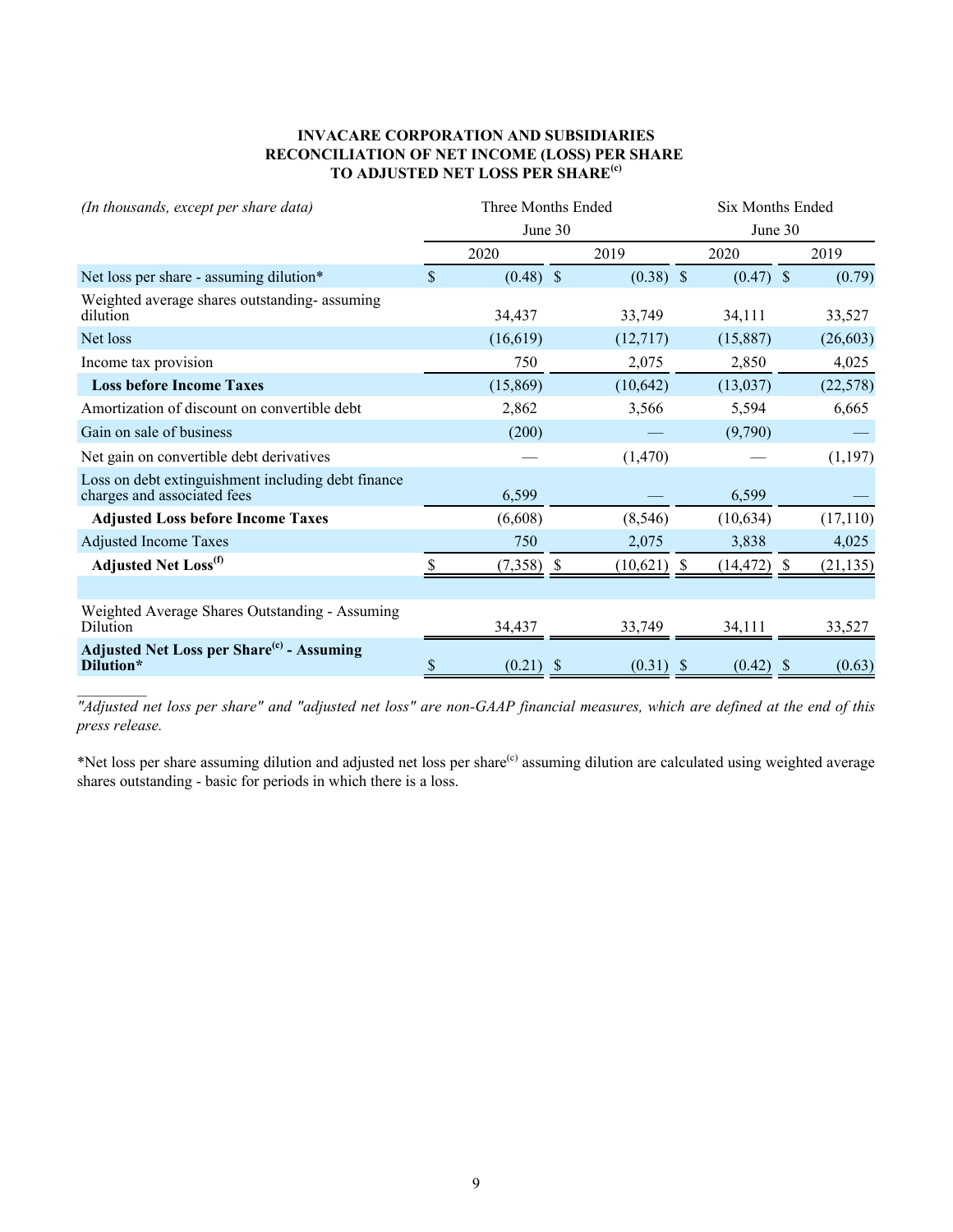#### **INVACARE CORPORATION AND SUBSIDIARIES RECONCILIATION OF NET INCOME (LOSS) PER SHARE TO ADJUSTED NET LOSS PER SHARE(c)**

| (In thousands, except per share data)                                             | Three Months Ended |              |  |               |  | Six Months Ended |      |           |  |  |
|-----------------------------------------------------------------------------------|--------------------|--------------|--|---------------|--|------------------|------|-----------|--|--|
|                                                                                   |                    | June 30      |  |               |  | June 30          |      |           |  |  |
|                                                                                   |                    | 2020         |  | 2019          |  | 2020             |      | 2019      |  |  |
| Net loss per share - assuming dilution*                                           | \$                 | $(0.48)$ \$  |  | $(0.38)$ \$   |  | $(0.47)$ \$      |      | (0.79)    |  |  |
| Weighted average shares outstanding-assuming<br>dilution                          |                    | 34,437       |  | 33,749        |  | 34,111           |      | 33,527    |  |  |
| Net loss                                                                          |                    | (16,619)     |  | (12,717)      |  | (15,887)         |      | (26, 603) |  |  |
| Income tax provision                                                              |                    | 750          |  | 2,075         |  | 2,850            |      | 4,025     |  |  |
| <b>Loss before Income Taxes</b>                                                   |                    | (15,869)     |  | (10,642)      |  | (13,037)         |      | (22, 578) |  |  |
| Amortization of discount on convertible debt                                      |                    | 2,862        |  | 3,566         |  | 5,594            |      | 6,665     |  |  |
| Gain on sale of business                                                          |                    | (200)        |  |               |  | (9,790)          |      |           |  |  |
| Net gain on convertible debt derivatives                                          |                    |              |  | (1, 470)      |  |                  |      | (1, 197)  |  |  |
| Loss on debt extinguishment including debt finance<br>charges and associated fees |                    | 6,599        |  |               |  | 6,599            |      |           |  |  |
| <b>Adjusted Loss before Income Taxes</b>                                          |                    | (6,608)      |  | (8, 546)      |  | (10, 634)        |      | (17, 110) |  |  |
| <b>Adjusted Income Taxes</b>                                                      |                    | 750          |  | 2,075         |  | 3,838            |      | 4,025     |  |  |
| <b>Adjusted Net Loss</b> <sup>(f)</sup>                                           |                    | $(7,358)$ \$ |  | $(10,621)$ \$ |  | $(14, 472)$ \$   |      | (21, 135) |  |  |
|                                                                                   |                    |              |  |               |  |                  |      |           |  |  |
| Weighted Average Shares Outstanding - Assuming<br>Dilution                        |                    | 34,437       |  | 33,749        |  | 34,111           |      | 33,527    |  |  |
| <b>Adjusted Net Loss per Share<sup>(c)</sup></b> - Assuming<br>Dilution*          |                    | (0.21)       |  | $(0.31)$ \$   |  | (0.42)           | - \$ | (0.63)    |  |  |

*"Adjusted net loss per share" and "adjusted net loss" are non-GAAP financial measures, which are defined at the end of this press release.* 

\*Net loss per share assuming dilution and adjusted net loss per share<sup>(c)</sup> assuming dilution are calculated using weighted average shares outstanding - basic for periods in which there is a loss.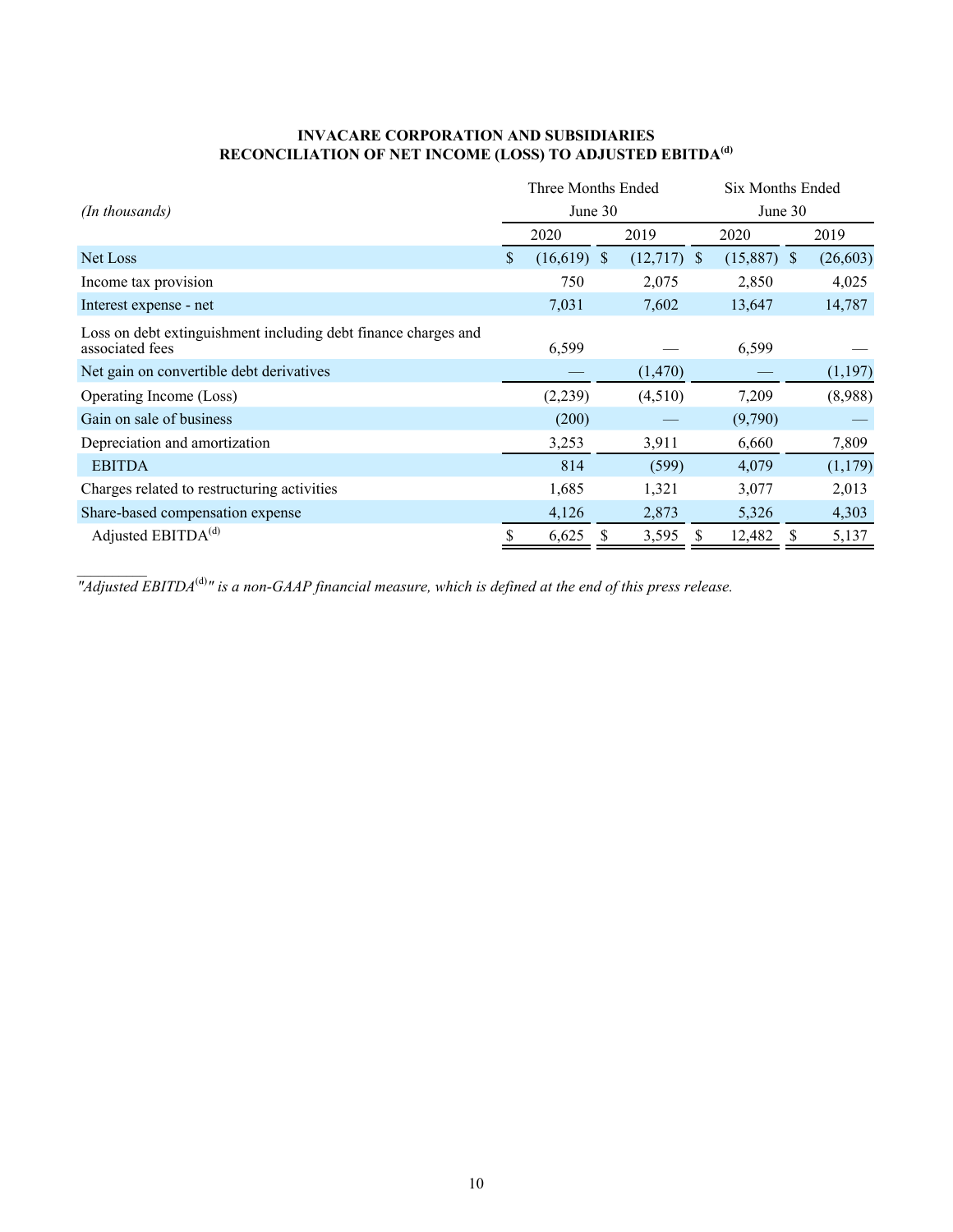#### **INVACARE CORPORATION AND SUBSIDIARIES RECONCILIATION OF NET INCOME (LOSS) TO ADJUSTED EBITDA(d)**

|                                                                                   | Three Months Ended  |               | Six Months Ended |  |           |  |  |
|-----------------------------------------------------------------------------------|---------------------|---------------|------------------|--|-----------|--|--|
| (In thousands)                                                                    | June 30             |               | June 30          |  |           |  |  |
|                                                                                   | 2020                | 2019          | 2020             |  | 2019      |  |  |
| Net Loss                                                                          | \$<br>$(16,619)$ \$ | $(12,717)$ \$ | $(15,887)$ \$    |  | (26, 603) |  |  |
| Income tax provision                                                              | 750                 | 2,075         | 2,850            |  | 4,025     |  |  |
| Interest expense - net                                                            | 7,031               | 7,602         | 13,647           |  | 14,787    |  |  |
| Loss on debt extinguishment including debt finance charges and<br>associated fees | 6,599               |               | 6,599            |  |           |  |  |
| Net gain on convertible debt derivatives                                          |                     | (1,470)       |                  |  | (1,197)   |  |  |
| Operating Income (Loss)                                                           | (2,239)             | (4,510)       | 7,209            |  | (8,988)   |  |  |
| Gain on sale of business                                                          | (200)               |               | (9,790)          |  |           |  |  |
| Depreciation and amortization                                                     | 3,253               | 3,911         | 6,660            |  | 7,809     |  |  |
| <b>EBITDA</b>                                                                     | 814                 | (599)         | 4,079            |  | (1,179)   |  |  |
| Charges related to restructuring activities                                       | 1,685               | 1,321         | 3,077            |  | 2,013     |  |  |
| Share-based compensation expense                                                  | 4,126               | 2,873         | 5,326            |  | 4,303     |  |  |
| Adjusted EBITDA <sup>(d)</sup>                                                    | 6,625               | 3,595         | 12,482           |  | 5,137     |  |  |

*"Adjusted EBITDA*(d)*" is a non-GAAP financial measure, which is defined at the end of this press release.*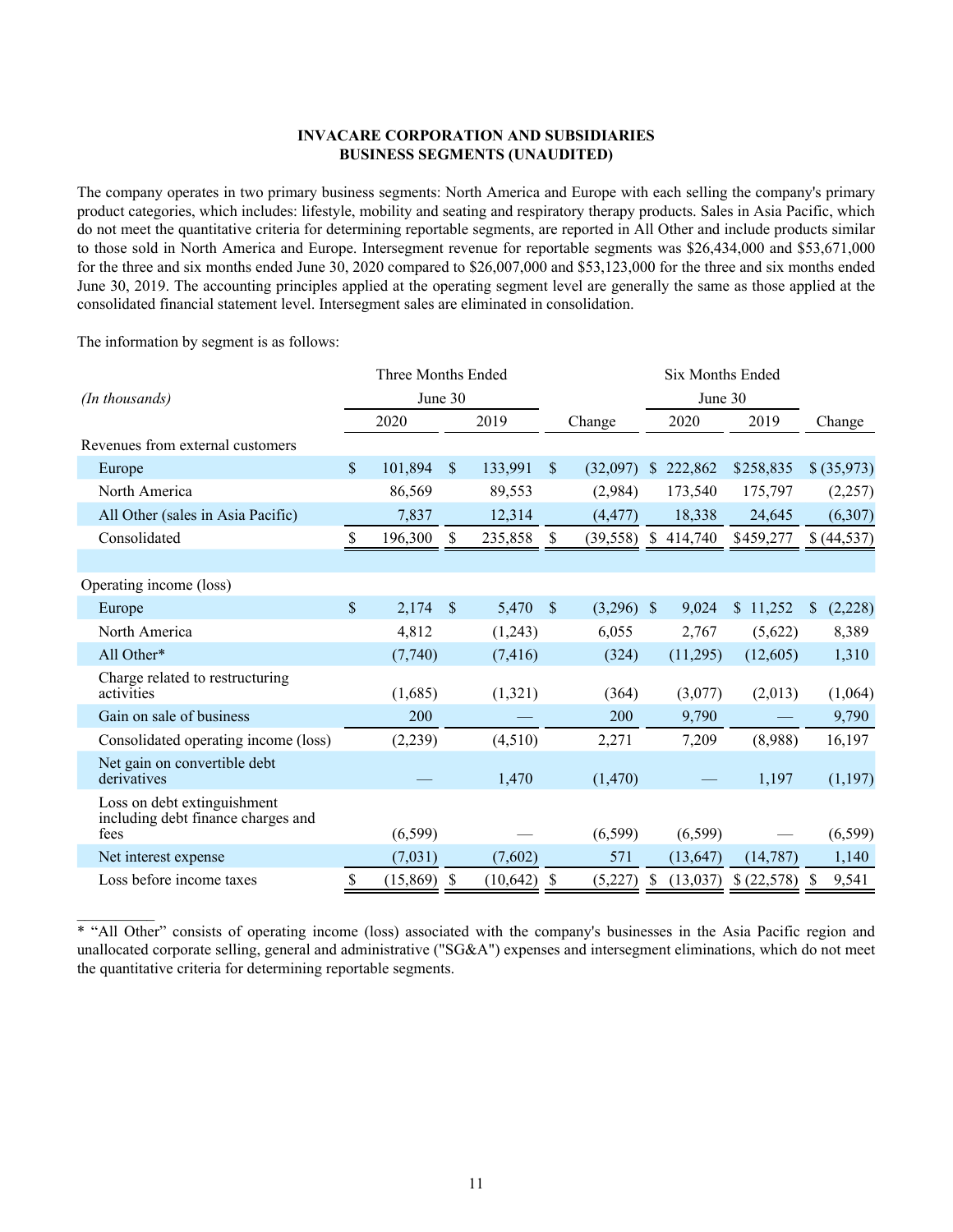#### **INVACARE CORPORATION AND SUBSIDIARIES BUSINESS SEGMENTS (UNAUDITED)**

The company operates in two primary business segments: North America and Europe with each selling the company's primary product categories, which includes: lifestyle, mobility and seating and respiratory therapy products. Sales in Asia Pacific, which do not meet the quantitative criteria for determining reportable segments, are reported in All Other and include products similar to those sold in North America and Europe. Intersegment revenue for reportable segments was \$26,434,000 and \$53,671,000 for the three and six months ended June 30, 2020 compared to \$26,007,000 and \$53,123,000 for the three and six months ended June 30, 2019. The accounting principles applied at the operating segment level are generally the same as those applied at the consolidated financial statement level. Intersegment sales are eliminated in consolidation.

The information by segment is as follows:

| (In thousands)                                                            |                           | Three Months Ended<br>June 30 |               |           |               |              |              | Six Months Ended<br>June 30 |              |              |
|---------------------------------------------------------------------------|---------------------------|-------------------------------|---------------|-----------|---------------|--------------|--------------|-----------------------------|--------------|--------------|
|                                                                           |                           | 2020                          |               | 2019      |               | Change       |              | 2020                        | 2019         | Change       |
| Revenues from external customers                                          |                           |                               |               |           |               |              |              |                             |              |              |
| Europe                                                                    | $\mathbf{\hat{S}}$        | 101,894                       | $\mathbb{S}$  | 133,991   | $\mathbb{S}$  | (32,097)     |              | \$222,862                   | \$258,835    | \$ (35,973)  |
| North America                                                             |                           | 86,569                        |               | 89,553    |               | (2,984)      |              | 173,540                     | 175,797      | (2, 257)     |
| All Other (sales in Asia Pacific)                                         |                           | 7,837                         |               | 12,314    |               | (4, 477)     |              | 18,338                      | 24,645       | (6,307)      |
| Consolidated                                                              | S                         | 196,300                       | S.            | 235,858   | -S            | (39, 558)    | <sup>S</sup> | 414,740                     | \$459,277    | \$ (44,537)  |
|                                                                           |                           |                               |               |           |               |              |              |                             |              |              |
| Operating income (loss)                                                   |                           |                               |               |           |               |              |              |                             |              |              |
| Europe                                                                    | $\mathsf{\$}$             | 2,174                         | $\mathcal{S}$ | 5,470     | $\mathcal{S}$ | $(3,296)$ \$ |              | 9,024                       | 11,252<br>\$ | (2,228)<br>S |
| North America                                                             |                           | 4,812                         |               | (1,243)   |               | 6,055        |              | 2,767                       | (5,622)      | 8,389        |
| All Other*                                                                |                           | (7,740)                       |               | (7, 416)  |               | (324)        |              | (11,295)                    | (12,605)     | 1,310        |
| Charge related to restructuring<br>activities                             |                           | (1,685)                       |               | (1,321)   |               | (364)        |              | (3,077)                     | (2,013)      | (1,064)      |
| Gain on sale of business                                                  |                           | 200                           |               |           |               | 200          |              | 9,790                       |              | 9,790        |
| Consolidated operating income (loss)                                      |                           | (2,239)                       |               | (4,510)   |               | 2,271        |              | 7,209                       | (8,988)      | 16,197       |
| Net gain on convertible debt<br>derivatives                               |                           |                               |               | 1,470     |               | (1, 470)     |              |                             | 1,197        | (1, 197)     |
| Loss on debt extinguishment<br>including debt finance charges and<br>fees |                           | (6, 599)                      |               |           |               | (6, 599)     |              | (6, 599)                    |              | (6, 599)     |
| Net interest expense                                                      |                           | (7,031)                       |               | (7,602)   |               | 571          |              | (13, 647)                   | (14, 787)    | 1,140        |
| Loss before income taxes                                                  | $\boldsymbol{\mathsf{S}}$ | (15,869)                      | \$            | (10, 642) | \$            | (5,227)      |              | (13,037)                    | \$(22,578)   | 9,541<br>\$  |

\* "All Other" consists of operating income (loss) associated with the company's businesses in the Asia Pacific region and unallocated corporate selling, general and administrative ("SG&A") expenses and intersegment eliminations, which do not meet the quantitative criteria for determining reportable segments.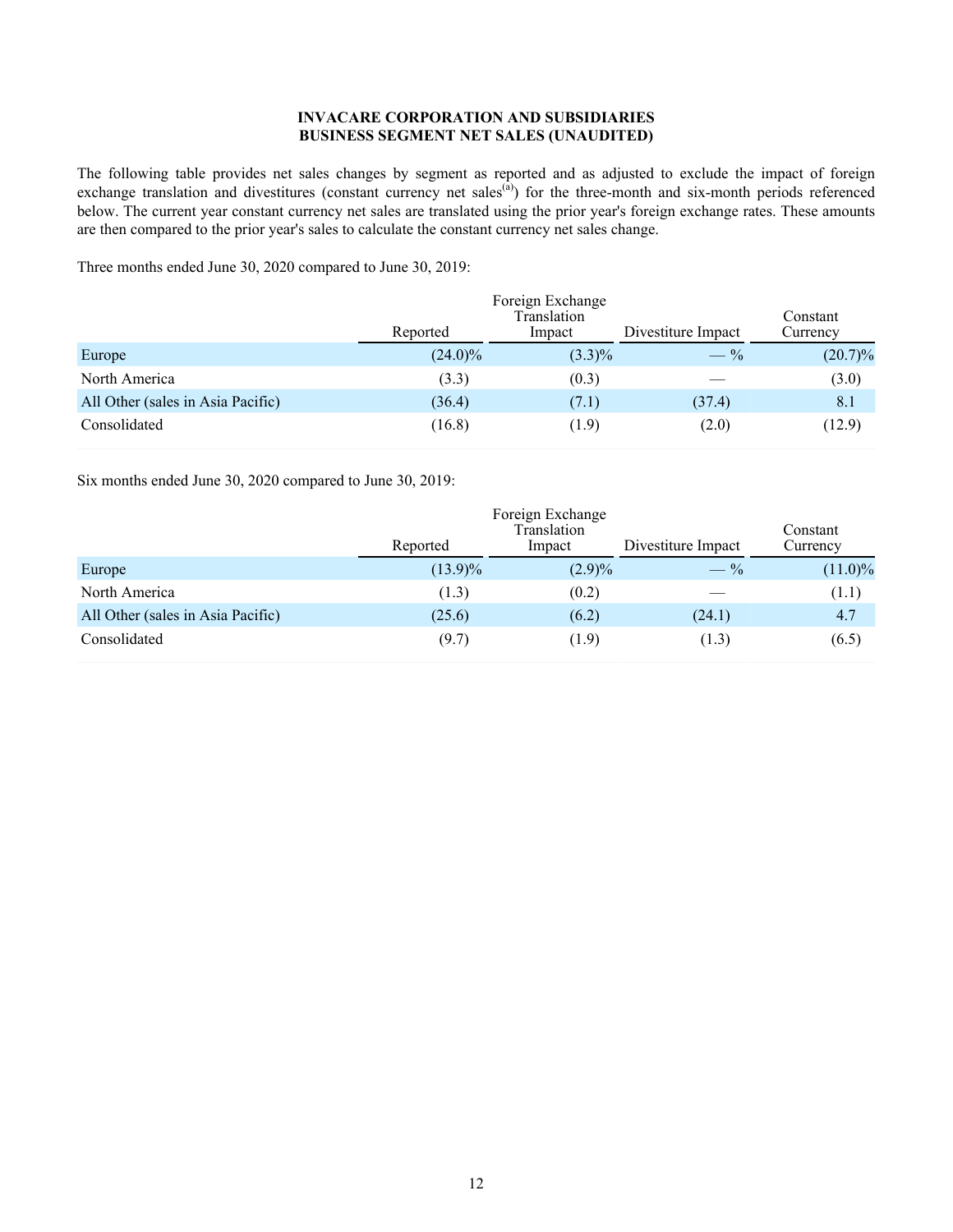#### **INVACARE CORPORATION AND SUBSIDIARIES BUSINESS SEGMENT NET SALES (UNAUDITED)**

The following table provides net sales changes by segment as reported and as adjusted to exclude the impact of foreign exchange translation and divestitures (constant currency net sales<sup>(a)</sup>) for the three-month and six-month periods referenced below. The current year constant currency net sales are translated using the prior year's foreign exchange rates. These amounts are then compared to the prior year's sales to calculate the constant currency net sales change.

Three months ended June 30, 2020 compared to June 30, 2019:

|                                   | Reported   | Foreign Exchange<br>Translation<br>Impact | Divestiture Impact | Constant<br>Currency |
|-----------------------------------|------------|-------------------------------------------|--------------------|----------------------|
| Europe                            | $(24.0)\%$ | $(3.3)\%$                                 | $- \frac{9}{6}$    | $(20.7)\%$           |
| North America                     | (3.3)      | (0.3)                                     |                    | (3.0)                |
| All Other (sales in Asia Pacific) | (36.4)     | (7.1)                                     | (37.4)             | 8.1                  |
| Consolidated                      | (16.8)     | (1.9)                                     | (2.0)              | (12.9)               |

Six months ended June 30, 2020 compared to June 30, 2019:

|                                   | Reported   | Foreign Exchange<br>Translation<br>Impact | Divestiture Impact | Constant<br>Currency |
|-----------------------------------|------------|-------------------------------------------|--------------------|----------------------|
| Europe                            | $(13.9)\%$ | $(2.9)\%$                                 | $-$ %              | $(11.0)\%$           |
| North America                     | (1.3)      | (0.2)                                     |                    | (1.1)                |
| All Other (sales in Asia Pacific) | (25.6)     | (6.2)                                     | (24.1)             | 4.7                  |
| Consolidated                      | (9.7)      | (1.9)                                     | (1.3)              | (6.5)                |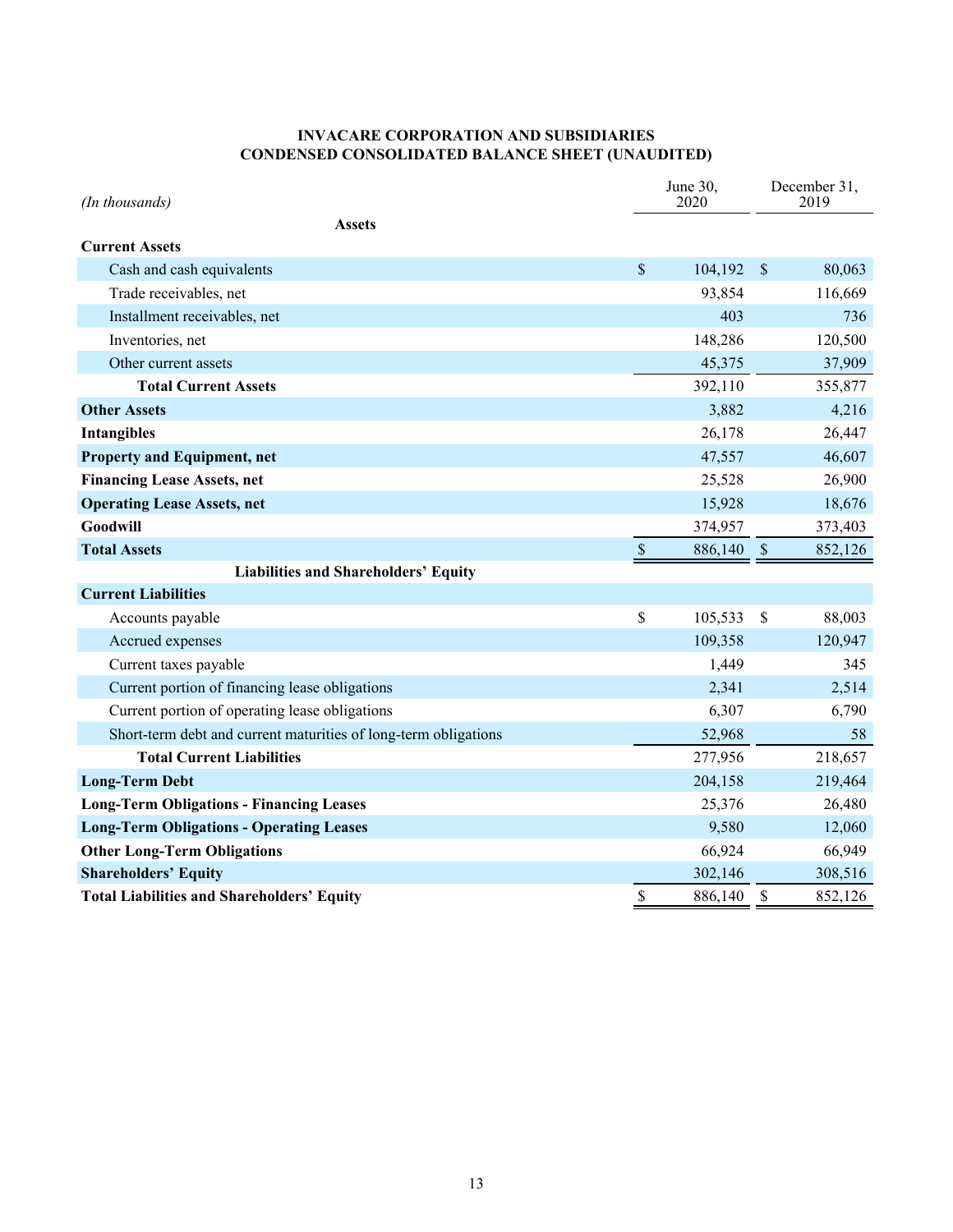#### **INVACARE CORPORATION AND SUBSIDIARIES CONDENSED CONSOLIDATED BALANCE SHEET (UNAUDITED)**

| (In thousands)                                                  |               | June 30,<br>2020 |               | December 31,<br>2019 |  |  |
|-----------------------------------------------------------------|---------------|------------------|---------------|----------------------|--|--|
| <b>Assets</b>                                                   |               |                  |               |                      |  |  |
| <b>Current Assets</b>                                           |               |                  |               |                      |  |  |
| Cash and cash equivalents                                       | \$            | 104,192          | $\mathcal{S}$ | 80,063               |  |  |
| Trade receivables, net                                          |               | 93,854           |               | 116,669              |  |  |
| Installment receivables, net                                    |               | 403              |               | 736                  |  |  |
| Inventories, net                                                |               | 148,286          |               | 120,500              |  |  |
| Other current assets                                            |               | 45,375           |               | 37,909               |  |  |
| <b>Total Current Assets</b>                                     |               | 392,110          |               | 355,877              |  |  |
| <b>Other Assets</b>                                             |               | 3,882            |               | 4,216                |  |  |
| <b>Intangibles</b>                                              |               | 26,178           |               | 26,447               |  |  |
| Property and Equipment, net                                     |               | 47,557           |               | 46,607               |  |  |
| <b>Financing Lease Assets, net</b>                              |               | 25,528           |               | 26,900               |  |  |
| <b>Operating Lease Assets, net</b>                              |               | 15,928           |               | 18,676               |  |  |
| Goodwill                                                        |               | 374,957          |               | 373,403              |  |  |
| <b>Total Assets</b>                                             | $\mathcal{S}$ | 886,140          | $\mathcal{S}$ | 852,126              |  |  |
| <b>Liabilities and Shareholders' Equity</b>                     |               |                  |               |                      |  |  |
| <b>Current Liabilities</b>                                      |               |                  |               |                      |  |  |
| Accounts payable                                                | \$            | 105,533          | $\mathcal{S}$ | 88,003               |  |  |
| Accrued expenses                                                |               | 109,358          |               | 120,947              |  |  |
| Current taxes payable                                           |               | 1,449            |               | 345                  |  |  |
| Current portion of financing lease obligations                  |               | 2,341            |               | 2,514                |  |  |
| Current portion of operating lease obligations                  |               | 6,307            |               | 6,790                |  |  |
| Short-term debt and current maturities of long-term obligations |               | 52,968           |               | 58                   |  |  |
| <b>Total Current Liabilities</b>                                |               | 277,956          |               | 218,657              |  |  |
| <b>Long-Term Debt</b>                                           |               | 204,158          |               | 219,464              |  |  |
| <b>Long-Term Obligations - Financing Leases</b>                 |               | 25,376           |               | 26,480               |  |  |
| <b>Long-Term Obligations - Operating Leases</b>                 |               | 9,580            |               | 12,060               |  |  |
| <b>Other Long-Term Obligations</b>                              |               | 66,924           |               | 66,949               |  |  |
| <b>Shareholders' Equity</b>                                     |               | 302,146          |               | 308,516              |  |  |
| <b>Total Liabilities and Shareholders' Equity</b>               | \$            | 886,140          | $\mathcal{S}$ | 852,126              |  |  |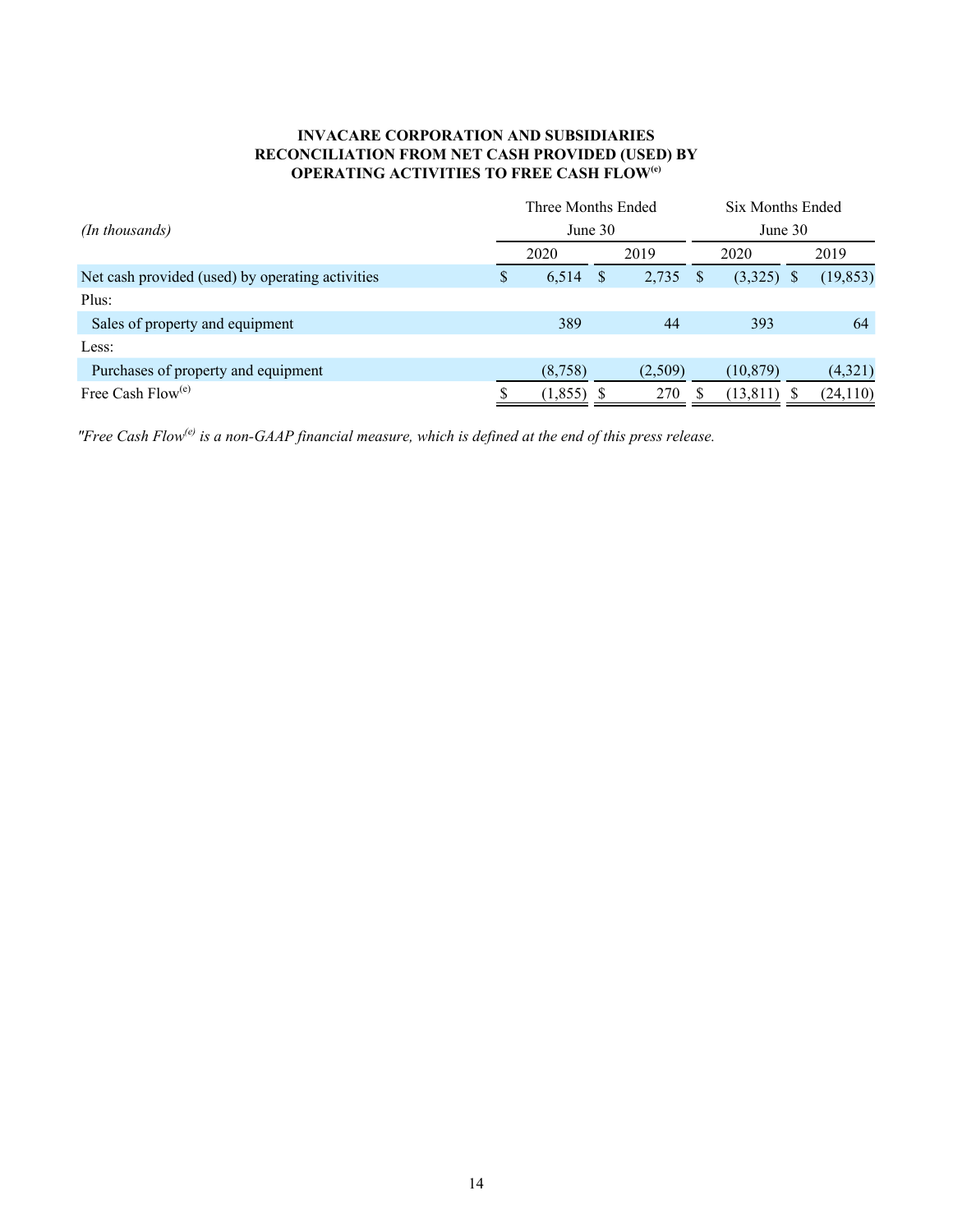#### **INVACARE CORPORATION AND SUBSIDIARIES RECONCILIATION FROM NET CASH PROVIDED (USED) BY OPERATING ACTIVITIES TO FREE CASH FLOW(e)**

|                                                  |               | Three Months Ended |      |            | Six Months Ended |              |      |           |  |
|--------------------------------------------------|---------------|--------------------|------|------------|------------------|--------------|------|-----------|--|
| (In thousands)                                   |               | June $30$          |      | June $301$ |                  |              |      |           |  |
|                                                  |               | 2020               | 2019 |            |                  | 2020         | 2019 |           |  |
| Net cash provided (used) by operating activities | <sup>\$</sup> | 6.514              | -S   | 2,735      | <sup>\$</sup>    | $(3,325)$ \$ |      | (19, 853) |  |
| Plus:                                            |               |                    |      |            |                  |              |      |           |  |
| Sales of property and equipment                  |               | 389                |      | 44         |                  | 393          |      | 64        |  |
| Less:                                            |               |                    |      |            |                  |              |      |           |  |
| Purchases of property and equipment              |               | (8,758)            |      | (2,509)    |                  | (10, 879)    |      | (4,321)   |  |
| Free Cash $Flow(e)$                              |               | (1, 855)           |      | 270        |                  | (13, 811)    |      | (24, 110) |  |

*"Free Cash Flow(e) is a non-GAAP financial measure, which is defined at the end of this press release.*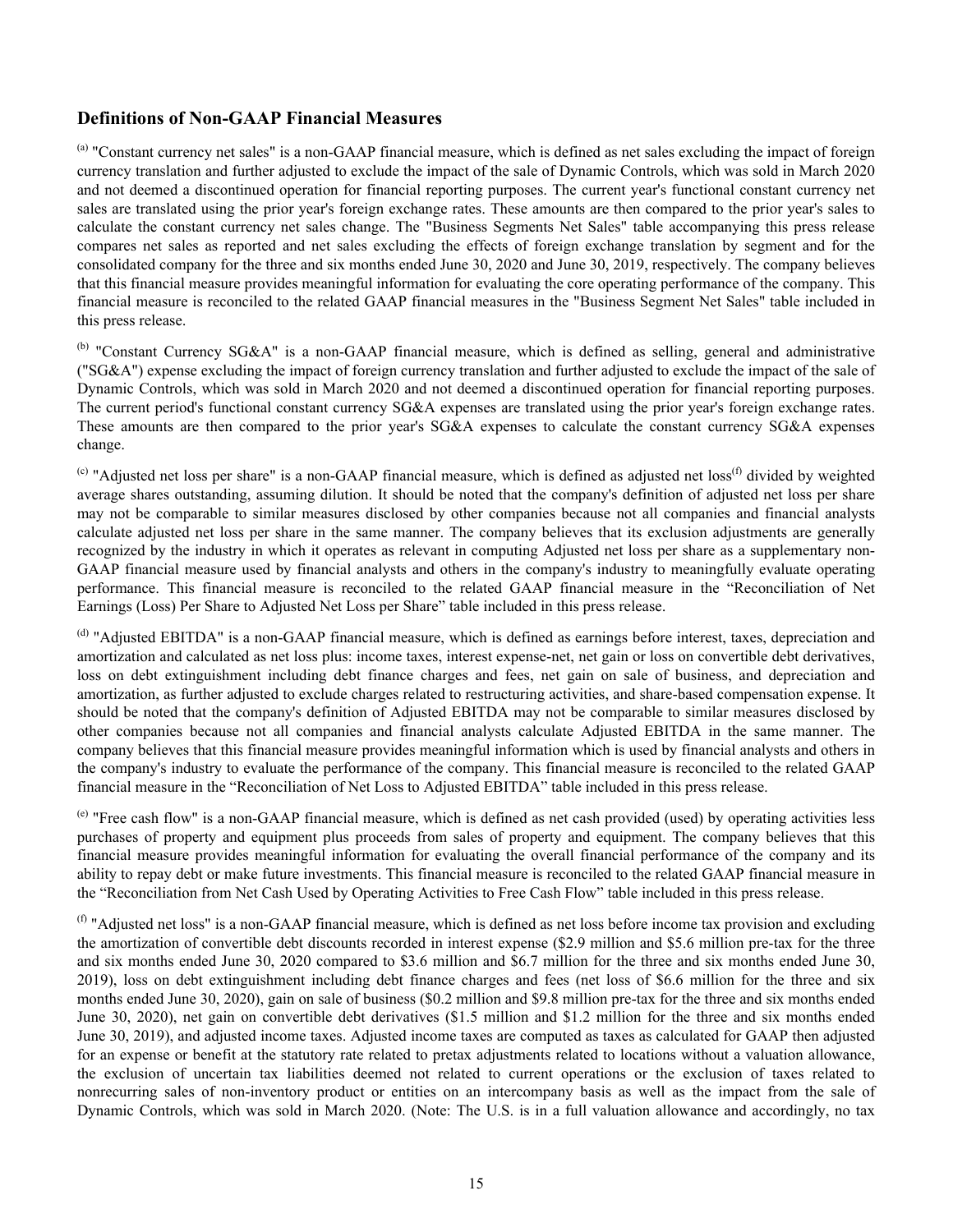#### **Definitions of Non-GAAP Financial Measures**

<sup>(a)</sup> "Constant currency net sales" is a non-GAAP financial measure, which is defined as net sales excluding the impact of foreign currency translation and further adjusted to exclude the impact of the sale of Dynamic Controls, which was sold in March 2020 and not deemed a discontinued operation for financial reporting purposes. The current year's functional constant currency net sales are translated using the prior year's foreign exchange rates. These amounts are then compared to the prior year's sales to calculate the constant currency net sales change. The "Business Segments Net Sales" table accompanying this press release compares net sales as reported and net sales excluding the effects of foreign exchange translation by segment and for the consolidated company for the three and six months ended June 30, 2020 and June 30, 2019, respectively. The company believes that this financial measure provides meaningful information for evaluating the core operating performance of the company. This financial measure is reconciled to the related GAAP financial measures in the "Business Segment Net Sales" table included in this press release.

(b) "Constant Currency SG&A" is a non-GAAP financial measure, which is defined as selling, general and administrative ("SG&A") expense excluding the impact of foreign currency translation and further adjusted to exclude the impact of the sale of Dynamic Controls, which was sold in March 2020 and not deemed a discontinued operation for financial reporting purposes. The current period's functional constant currency SG&A expenses are translated using the prior year's foreign exchange rates. These amounts are then compared to the prior year's SG&A expenses to calculate the constant currency SG&A expenses change.

 $^{(c)}$  "Adjusted net loss per share" is a non-GAAP financial measure, which is defined as adjusted net loss<sup>(f)</sup> divided by weighted average shares outstanding, assuming dilution. It should be noted that the company's definition of adjusted net loss per share may not be comparable to similar measures disclosed by other companies because not all companies and financial analysts calculate adjusted net loss per share in the same manner. The company believes that its exclusion adjustments are generally recognized by the industry in which it operates as relevant in computing Adjusted net loss per share as a supplementary non-GAAP financial measure used by financial analysts and others in the company's industry to meaningfully evaluate operating performance. This financial measure is reconciled to the related GAAP financial measure in the "Reconciliation of Net Earnings (Loss) Per Share to Adjusted Net Loss per Share" table included in this press release.

(d) "Adjusted EBITDA" is a non-GAAP financial measure, which is defined as earnings before interest, taxes, depreciation and amortization and calculated as net loss plus: income taxes, interest expense-net, net gain or loss on convertible debt derivatives, loss on debt extinguishment including debt finance charges and fees, net gain on sale of business, and depreciation and amortization, as further adjusted to exclude charges related to restructuring activities, and share-based compensation expense. It should be noted that the company's definition of Adjusted EBITDA may not be comparable to similar measures disclosed by other companies because not all companies and financial analysts calculate Adjusted EBITDA in the same manner. The company believes that this financial measure provides meaningful information which is used by financial analysts and others in the company's industry to evaluate the performance of the company. This financial measure is reconciled to the related GAAP financial measure in the "Reconciliation of Net Loss to Adjusted EBITDA" table included in this press release.

(e) "Free cash flow" is a non-GAAP financial measure, which is defined as net cash provided (used) by operating activities less purchases of property and equipment plus proceeds from sales of property and equipment. The company believes that this financial measure provides meaningful information for evaluating the overall financial performance of the company and its ability to repay debt or make future investments. This financial measure is reconciled to the related GAAP financial measure in the "Reconciliation from Net Cash Used by Operating Activities to Free Cash Flow" table included in this press release.

 $<sup>(f)</sup>$  "Adjusted net loss" is a non-GAAP financial measure, which is defined as net loss before income tax provision and excluding</sup> the amortization of convertible debt discounts recorded in interest expense (\$2.9 million and \$5.6 million pre-tax for the three and six months ended June 30, 2020 compared to \$3.6 million and \$6.7 million for the three and six months ended June 30, 2019), loss on debt extinguishment including debt finance charges and fees (net loss of \$6.6 million for the three and six months ended June 30, 2020), gain on sale of business (\$0.2 million and \$9.8 million pre-tax for the three and six months ended June 30, 2020), net gain on convertible debt derivatives (\$1.5 million and \$1.2 million for the three and six months ended June 30, 2019), and adjusted income taxes. Adjusted income taxes are computed as taxes as calculated for GAAP then adjusted for an expense or benefit at the statutory rate related to pretax adjustments related to locations without a valuation allowance, the exclusion of uncertain tax liabilities deemed not related to current operations or the exclusion of taxes related to nonrecurring sales of non-inventory product or entities on an intercompany basis as well as the impact from the sale of Dynamic Controls, which was sold in March 2020. (Note: The U.S. is in a full valuation allowance and accordingly, no tax